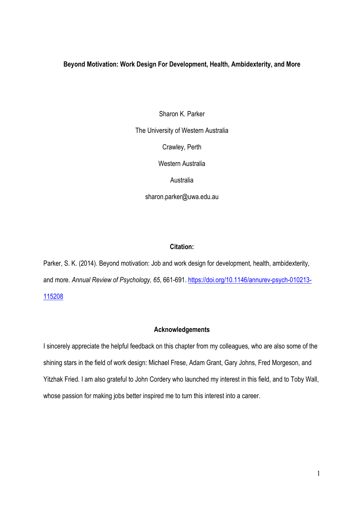### **Beyond Motivation: Work Design For Development, Health, Ambidexterity, and More**

Sharon K. Parker The University of Western Australia Crawley, Perth Western Australia **Australia** sharon.parker@uwa.edu.au

## **Citation:**

Parker, S. K. (2014). Beyond motivation: Job and work design for development, health, ambidexterity, and more. *Annual Review of Psychology, 65*, 661-691. [https://doi.org/10.1146/annurev-psych-010213-](https://doi.org/10.1146/annurev-psych-010213-115208) [115208](https://doi.org/10.1146/annurev-psych-010213-115208)

### **Acknowledgements**

I sincerely appreciate the helpful feedback on this chapter from my colleagues, who are also some of the shining stars in the field of work design: Michael Frese, Adam Grant, Gary Johns, Fred Morgeson, and Yitzhak Fried. I am also grateful to John Cordery who launched my interest in this field, and to Toby Wall, whose passion for making jobs better inspired me to turn this interest into a career.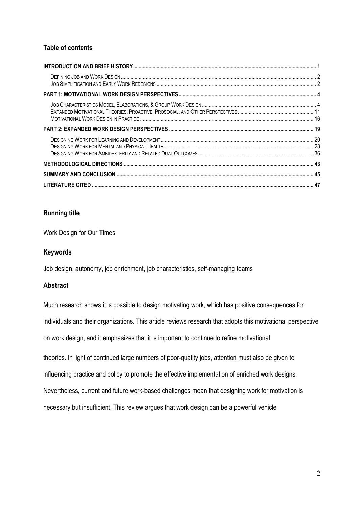# **Table of contents**

## **Running title**

Work Design for Our Times

## **Keywords**

Job design, autonomy, job enrichment, job characteristics, self-managing teams

# **Abstract**

Much research shows it is possible to design motivating work, which has positive consequences for individuals and their organizations. This article reviews research that adopts this motivational perspective on work design, and it emphasizes that it is important to continue to refine motivational theories. In light of continued large numbers of poor-quality jobs, attention must also be given to influencing practice and policy to promote the effective implementation of enriched work designs. Nevertheless, current and future work-based challenges mean that designing work for motivation is necessary but insufficient. This review argues that work design can be a powerful vehicle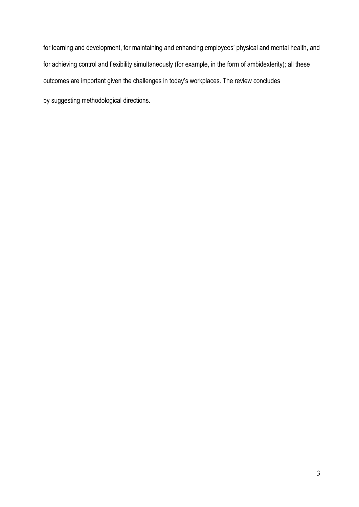for learning and development, for maintaining and enhancing employees' physical and mental health, and for achieving control and flexibility simultaneously (for example, in the form of ambidexterity); all these outcomes are important given the challenges in today's workplaces. The review concludes by suggesting methodological directions.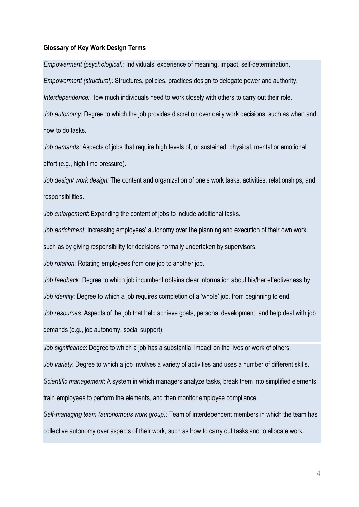### **Glossary of Key Work Design Terms**

*Empowerment (psychological)*: Individuals' experience of meaning, impact, self-determination,

*Empowerment (structural):* Structures, policies, practices design to delegate power and authority.

*Interdependence:* How much individuals need to work closely with others to carry out their role.

*Job autonomy*: Degree to which the job provides discretion over daily work decisions, such as when and how to do tasks.

*Job demands:* Aspects of jobs that require high levels of, or sustained, physical, mental or emotional effort (e.g., high time pressure).

*Job design/ work design:* The content and organization of one's work tasks, activities, relationships, and responsibilities.

*Job enlargement*: Expanding the content of jobs to include additional tasks.

*Job enrichment*: Increasing employees' autonomy over the planning and execution of their own work.

such as by giving responsibility for decisions normally undertaken by supervisors.

*Job rotation*: Rotating employees from one job to another job.

*Job feedback*. Degree to which job incumbent obtains clear information about his/her effectiveness by *Job identity*: Degree to which a job requires completion of a 'whole' job, from beginning to end.

*Job resources:* Aspects of the job that help achieve goals, personal development, and help deal with job demands (e.g., job autonomy, social support).

*Job significance*: Degree to which a job has a substantial impact on the lives or work of others.

*Job variety*: Degree to which a job involves a variety of activities and uses a number of different skills.

*Scientific management*: A system in which managers analyze tasks, break them into simplified elements, train employees to perform the elements, and then monitor employee compliance.

*Self-managing team (autonomous work group):* Team of interdependent members in which the team has collective autonomy over aspects of their work, such as how to carry out tasks and to allocate work.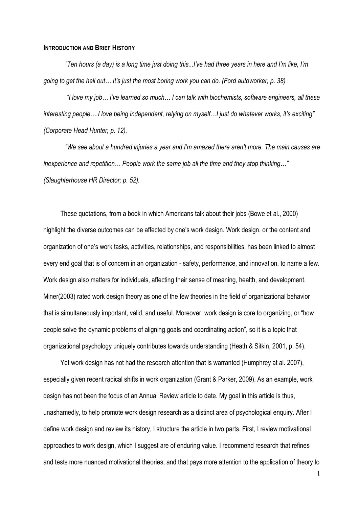#### <span id="page-4-0"></span>**INTRODUCTION AND BRIEF HISTORY**

*"Ten hours (a day) is a long time just doing this...I've had three years in here and I'm like, I'm going to get the hell out… It's just the most boring work you can do. (Ford autoworker, p. 38)*

*"I love my job… I've learned so much… I can talk with biochemists, software engineers, all these interesting people….I love being independent, relying on myself…I just do whatever works, it's exciting" (Corporate Head Hunter, p. 12).* 

*"We see about a hundred injuries a year and I'm amazed there aren't more. The main causes are inexperience and repetition… People work the same job all the time and they stop thinking…" (Slaughterhouse HR Director; p. 52).* 

These quotations, from a book in which Americans talk about their jobs (Bowe et al., 2000) highlight the diverse outcomes can be affected by one's work design. Work design, or the content and organization of one's work tasks, activities, relationships, and responsibilities, has been linked to almost every end goal that is of concern in an organization - safety, performance, and innovation, to name a few. Work design also matters for individuals, affecting their sense of meaning, health, and development. Miner(2003) rated work design theory as one of the few theories in the field of organizational behavior that is simultaneously important, valid, and useful. Moreover, work design is core to organizing, or "how people solve the dynamic problems of aligning goals and coordinating action", so it is a topic that organizational psychology uniquely contributes towards understanding (Heath & Sitkin, 2001, p. 54).

Yet work design has not had the research attention that is warranted (Humphrey at al. 2007), especially given recent radical shifts in work organization (Grant & Parker, 2009). As an example, work design has not been the focus of an Annual Review article to date. My goal in this article is thus, unashamedly, to help promote work design research as a distinct area of psychological enquiry. After I define work design and review its history, I structure the article in two parts. First, I review motivational approaches to work design, which I suggest are of enduring value. I recommend research that refines and tests more nuanced motivational theories, and that pays more attention to the application of theory to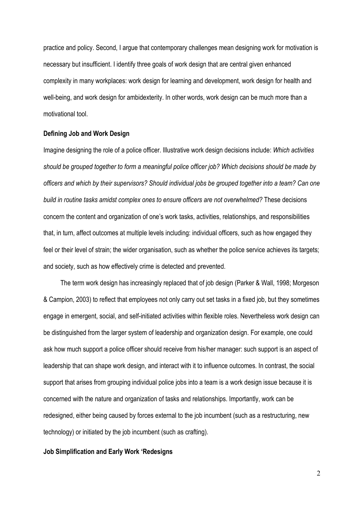practice and policy. Second, I argue that contemporary challenges mean designing work for motivation is necessary but insufficient. I identify three goals of work design that are central given enhanced complexity in many workplaces: work design for learning and development, work design for health and well-being, and work design for ambidexterity. In other words, work design can be much more than a motivational tool.

#### <span id="page-5-0"></span>**Defining Job and Work Design**

Imagine designing the role of a police officer. Illustrative work design decisions include: *Which activities should be grouped together to form a meaningful police officer job? Which decisions should be made by officers and which by their supervisors? Should individual jobs be grouped together into a team? Can one build in routine tasks amidst complex ones to ensure officers are not overwhelmed?* These decisions concern the content and organization of one's work tasks, activities, relationships, and responsibilities that, in turn, affect outcomes at multiple levels including: individual officers, such as how engaged they feel or their level of strain; the wider organisation, such as whether the police service achieves its targets; and society, such as how effectively crime is detected and prevented.

The term work design has increasingly replaced that of job design (Parker & Wall, 1998; Morgeson & Campion, 2003) to reflect that employees not only carry out set tasks in a fixed job, but they sometimes engage in emergent, social, and self-initiated activities within flexible roles. Nevertheless work design can be distinguished from the larger system of leadership and organization design. For example, one could ask how much support a police officer should receive from his/her manager: such support is an aspect of leadership that can shape work design, and interact with it to influence outcomes. In contrast, the social support that arises from grouping individual police jobs into a team is a work design issue because it is concerned with the nature and organization of tasks and relationships. Importantly, work can be redesigned, either being caused by forces external to the job incumbent (such as a restructuring, new technology) or initiated by the job incumbent (such as crafting).

## <span id="page-5-1"></span>**Job Simplification and Early Work 'Redesigns**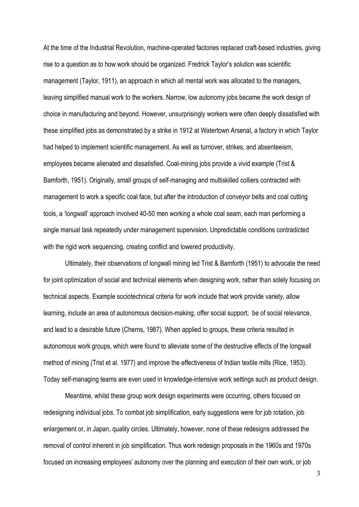At the time of the Industrial Revolution, machine-operated factories replaced craft-based industries, giving rise to a question as to how work should be organized. Fredrick Taylor's solution was scientific management (Taylor, 1911), an approach in which all mental work was allocated to the managers, leaving simplified manual work to the workers. Narrow, low autonomy jobs became the work design of choice in manufacturing and beyond. However, unsurprisingly workers were often deeply dissatisfied with these simplified jobs as demonstrated by a strike in 1912 at Watertown Arsenal, a factory in which Taylor had helped to implement scientific management. As well as turnover, strikes, and absenteeism, employees became alienated and dissatisfied. Coal-mining jobs provide a vivid example (Trist & Bamforth, 1951). Originally, small groups of self-managing and multiskilled colliers contracted with management to work a specific coal face, but after the introduction of conveyor belts and coal cutting tools, a 'longwall' approach involved 40-50 men working a whole coal seam, each man performing a single manual task repeatedly under management supervision. Unpredictable conditions contradicted with the rigid work sequencing, creating conflict and lowered productivity.

Ultimately, their observations of longwall mining led Trist & Bamforth (1951) to advocate the need for joint optimization of social and technical elements when designing work, rather than solely focusing on technical aspects. Example sociotechnical criteria for work include that work provide variety, allow learning, include an area of autonomous decision-making, offer social support, be of social relevance, and lead to a desirable future (Cherns, 1987). When applied to groups, these criteria resulted in autonomous work groups, which were found to alleviate some of the destructive effects of the longwall method of mining (Trist et al. 1977) and improve the effectiveness of Indian textile mills (Rice, 1953). Today self-managing teams are even used in knowledge-intensive work settings such as product design.

Meantime, whilst these group work design experiments were occurring, others focused on redesigning individual jobs. To combat job simplification, early suggestions were for job rotation, job enlargement or, in Japan, quality circles. Ultimately, however, none of these redesigns addressed the removal of control inherent in job simplification. Thus work redesign proposals in the 1960s and 1970s focused on increasing employees' autonomy over the planning and execution of their own work, or job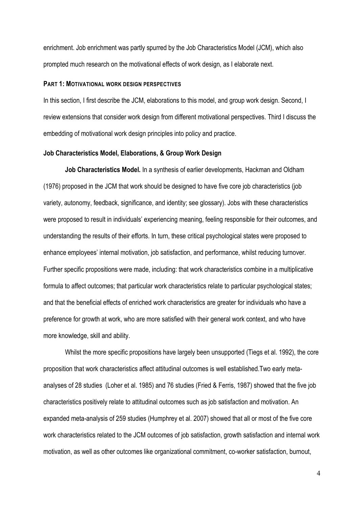enrichment. Job enrichment was partly spurred by the Job Characteristics Model (JCM), which also prompted much research on the motivational effects of work design, as I elaborate next.

### <span id="page-7-0"></span>**PART 1: MOTIVATIONAL WORK DESIGN PERSPECTIVES**

In this section, I first describe the JCM, elaborations to this model, and group work design. Second, I review extensions that consider work design from different motivational perspectives. Third I discuss the embedding of motivational work design principles into policy and practice.

#### <span id="page-7-1"></span>**Job Characteristics Model, Elaborations, & Group Work Design**

**Job Characteristics Model.** In a synthesis of earlier developments, Hackman and Oldham (1976) proposed in the JCM that work should be designed to have five core job characteristics (job variety, autonomy, feedback, significance, and identity; see glossary). Jobs with these characteristics were proposed to result in individuals' experiencing meaning, feeling responsible for their outcomes, and understanding the results of their efforts. In turn, these critical psychological states were proposed to enhance employees' internal motivation, job satisfaction, and performance, whilst reducing turnover. Further specific propositions were made, including: that work characteristics combine in a multiplicative formula to affect outcomes; that particular work characteristics relate to particular psychological states; and that the beneficial effects of enriched work characteristics are greater for individuals who have a preference for growth at work, who are more satisfied with their general work context, and who have more knowledge, skill and ability.

Whilst the more specific propositions have largely been unsupported (Tiegs et al. 1992), the core proposition that work characteristics affect attitudinal outcomes is well established.Two early metaanalyses of 28 studies (Loher et al. 1985) and 76 studies (Fried & Ferris, 1987) showed that the five job characteristics positively relate to attitudinal outcomes such as job satisfaction and motivation. An expanded meta-analysis of 259 studies (Humphrey et al. 2007) showed that all or most of the five core work characteristics related to the JCM outcomes of job satisfaction, growth satisfaction and internal work motivation, as well as other outcomes like organizational commitment, co-worker satisfaction, burnout,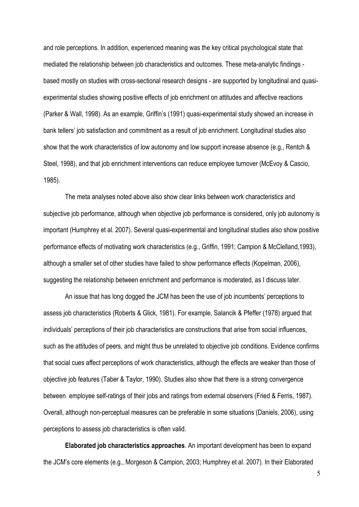and role perceptions. In addition, experienced meaning was the key critical psychological state that mediated the relationship between job characteristics and outcomes. These meta-analytic findings based mostly on studies with cross-sectional research designs - are supported by longitudinal and quasiexperimental studies showing positive effects of job enrichment on attitudes and affective reactions (Parker & Wall, 1998). As an example, Griffin's (1991) quasi-experimental study showed an increase in bank tellers' job satisfaction and commitment as a result of job enrichment. Longitudinal studies also show that the work characteristics of low autonomy and low support increase absence (e.g., Rentch & Steel, 1998), and that job enrichment interventions can reduce employee turnover (McEvoy & Cascio, 1985).

The meta analyses noted above also show clear links between work characteristics and subjective job performance, although when objective job performance is considered, only job autonomy is important (Humphrey et al. 2007). Several quasi-experimental and longitudinal studies also show positive performance effects of motivating work characteristics (e.g., Griffin, 1991; Campion & McClelland,1993), although a smaller set of other studies have failed to show performance effects (Kopelman, 2006), suggesting the relationship between enrichment and performance is moderated, as I discuss later.

An issue that has long dogged the JCM has been the use of job incumbents' perceptions to assess job characteristics (Roberts & Glick, 1981). For example, Salancik & Pfeffer (1978) argued that individuals' perceptions of their job characteristics are constructions that arise from social influences, such as the attitudes of peers, and might thus be unrelated to objective job conditions. Evidence confirms that social cues affect perceptions of work characteristics, although the effects are weaker than those of objective job features (Taber & Taylor, 1990). Studies also show that there is a strong convergence between employee self-ratings of their jobs and ratings from external observers (Fried & Ferris, 1987). Overall, although non-perceptual measures can be preferable in some situations (Daniels, 2006), using perceptions to assess job characteristics is often valid.

**Elaborated job characteristics approaches**. An important development has been to expand the JCM's core elements (e.g., Morgeson & Campion, 2003; Humphrey et al. 2007). In their Elaborated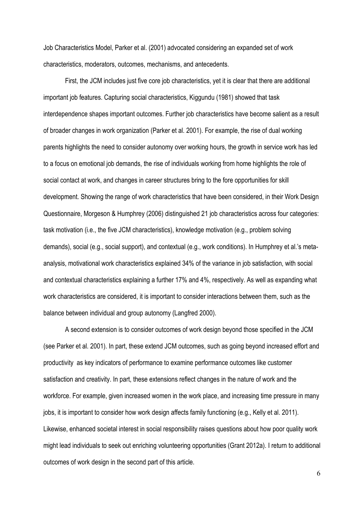Job Characteristics Model, Parker et al. (2001) advocated considering an expanded set of work characteristics, moderators, outcomes, mechanisms, and antecedents.

First, the JCM includes just five core job characteristics, yet it is clear that there are additional important job features. Capturing social characteristics, Kiggundu (1981) showed that task interdependence shapes important outcomes. Further job characteristics have become salient as a result of broader changes in work organization (Parker et al. 2001). For example, the rise of dual working parents highlights the need to consider autonomy over working hours, the growth in service work has led to a focus on emotional job demands, the rise of individuals working from home highlights the role of social contact at work, and changes in career structures bring to the fore opportunities for skill development. Showing the range of work characteristics that have been considered, in their Work Design Questionnaire, Morgeson & Humphrey (2006) distinguished 21 job characteristics across four categories: task motivation (i.e., the five JCM characteristics), knowledge motivation (e.g., problem solving demands), social (e.g., social support), and contextual (e.g., work conditions). In Humphrey et al.'s metaanalysis, motivational work characteristics explained 34% of the variance in job satisfaction, with social and contextual characteristics explaining a further 17% and 4%, respectively. As well as expanding what work characteristics are considered, it is important to consider interactions between them, such as the balance between individual and group autonomy (Langfred 2000).

A second extension is to consider outcomes of work design beyond those specified in the JCM (see Parker et al. 2001). In part, these extend JCM outcomes, such as going beyond increased effort and productivity as key indicators of performance to examine performance outcomes like customer satisfaction and creativity. In part, these extensions reflect changes in the nature of work and the workforce. For example, given increased women in the work place, and increasing time pressure in many jobs, it is important to consider how work design affects family functioning (e.g., Kelly et al. 2011). Likewise, enhanced societal interest in social responsibility raises questions about how poor quality work might lead individuals to seek out enriching volunteering opportunities (Grant 2012a). I return to additional outcomes of work design in the second part of this article.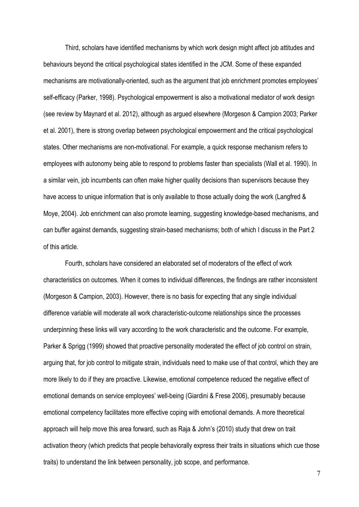Third, scholars have identified mechanisms by which work design might affect job attitudes and behaviours beyond the critical psychological states identified in the JCM. Some of these expanded mechanisms are motivationally-oriented, such as the argument that job enrichment promotes employees' self-efficacy (Parker, 1998). Psychological empowerment is also a motivational mediator of work design (see review by Maynard et al. 2012), although as argued elsewhere (Morgeson & Campion 2003; Parker et al. 2001), there is strong overlap between psychological empowerment and the critical psychological states. Other mechanisms are non-motivational. For example, a quick response mechanism refers to employees with autonomy being able to respond to problems faster than specialists (Wall et al. 1990). In a similar vein, job incumbents can often make higher quality decisions than supervisors because they have access to unique information that is only available to those actually doing the work (Langfred & Moye, 2004). Job enrichment can also promote learning, suggesting knowledge-based mechanisms, and can buffer against demands, suggesting strain-based mechanisms; both of which I discuss in the Part 2 of this article.

Fourth, scholars have considered an elaborated set of moderators of the effect of work characteristics on outcomes. When it comes to individual differences, the findings are rather inconsistent (Morgeson & Campion, 2003). However, there is no basis for expecting that any single individual difference variable will moderate all work characteristic-outcome relationships since the processes underpinning these links will vary according to the work characteristic and the outcome. For example, Parker & Sprigg (1999) showed that proactive personality moderated the effect of job control on strain, arguing that, for job control to mitigate strain, individuals need to make use of that control, which they are more likely to do if they are proactive. Likewise, emotional competence reduced the negative effect of emotional demands on service employees' well-being (Giardini & Frese 2006), presumably because emotional competency facilitates more effective coping with emotional demands. A more theoretical approach will help move this area forward, such as Raja & John's (2010) study that drew on trait activation theory (which predicts that people behaviorally express their traits in situations which cue those traits) to understand the link between personality, job scope, and performance.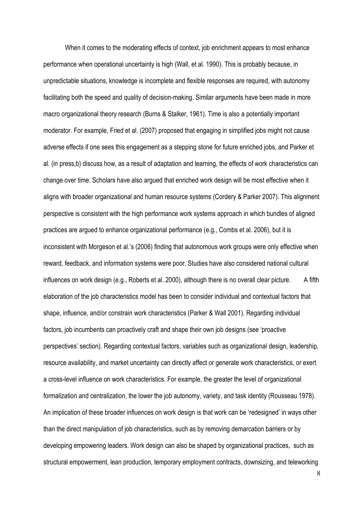When it comes to the moderating effects of context, job enrichment appears to most enhance performance when operational uncertainty is high (Wall, et al. 1990). This is probably because, in unpredictable situations, knowledge is incomplete and flexible responses are required, with autonomy facilitating both the speed and quality of decision-making. Similar arguments have been made in more macro organizational theory research (Burns & Stalker, 1961). Time is also a potentially important moderator. For example, Fried et al. (2007) proposed that engaging in simplified jobs might not cause adverse effects if one sees this engagement as a stepping stone for future enriched jobs, and Parker et al. (in press,b) discuss how, as a result of adaptation and learning, the effects of work characteristics can change over time. Scholars have also argued that enriched work design will be most effective when it aligns with broader organizational and human resource systems (Cordery & Parker 2007). This alignment perspective is consistent with the high performance work systems approach in which bundles of aligned practices are argued to enhance organizational performance (e.g., Combs et al. 2006), but it is inconsistent with Morgeson et al.'s (2006) finding that autonomous work groups were only effective when reward, feedback, and information systems were poor. Studies have also considered national cultural influences on work design (e.g., Roberts et al. 2000), although there is no overall clear picture. A fifth elaboration of the job characteristics model has been to consider individual and contextual factors that shape, influence, and/or constrain work characteristics (Parker & Wall 2001). Regarding individual factors, job incumbents can proactively craft and shape their own job designs (see 'proactive perspectives' section). Regarding contextual factors, variables such as organizational design, leadership, resource availability, and market uncertainty can directly affect or generate work characteristics, or exert a cross-level influence on work characteristics. For example, the greater the level of organizational formalization and centralization, the lower the job autonomy, variety, and task identity (Rousseau 1978). An implication of these broader influences on work design is that work can be 'redesigned' in ways other than the direct manipulation of job characteristics, such as by removing demarcation barriers or by developing empowering leaders. Work design can also be shaped by organizational practices, such as structural empowerment, lean production, temporary employment contracts, downsizing, and teleworking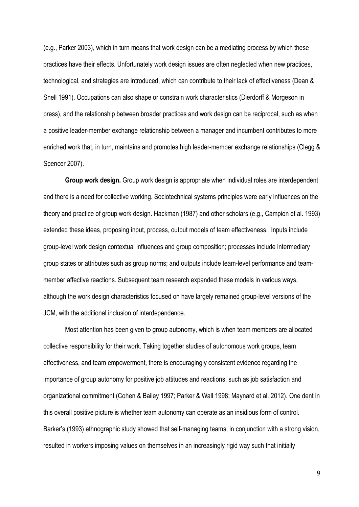(e.g., Parker 2003), which in turn means that work design can be a mediating process by which these practices have their effects. Unfortunately work design issues are often neglected when new practices, technological, and strategies are introduced, which can contribute to their lack of effectiveness (Dean & Snell 1991). Occupations can also shape or constrain work characteristics (Dierdorff & Morgeson in press), and the relationship between broader practices and work design can be reciprocal, such as when a positive leader-member exchange relationship between a manager and incumbent contributes to more enriched work that, in turn, maintains and promotes high leader-member exchange relationships (Clegg & Spencer 2007).

**Group work design.** Group work design is appropriate when individual roles are interdependent and there is a need for collective working. Sociotechnical systems principles were early influences on the theory and practice of group work design. Hackman (1987) and other scholars (e.g., Campion et al. 1993) extended these ideas, proposing input, process, output models of team effectiveness. Inputs include group-level work design contextual influences and group composition; processes include intermediary group states or attributes such as group norms; and outputs include team-level performance and teammember affective reactions. Subsequent team research expanded these models in various ways, although the work design characteristics focused on have largely remained group-level versions of the JCM, with the additional inclusion of interdependence.

Most attention has been given to group autonomy, which is when team members are allocated collective responsibility for their work. Taking together studies of autonomous work groups, team effectiveness, and team empowerment, there is encouragingly consistent evidence regarding the importance of group autonomy for positive job attitudes and reactions, such as job satisfaction and organizational commitment (Cohen & Bailey 1997; Parker & Wall 1998; Maynard et al. 2012). One dent in this overall positive picture is whether team autonomy can operate as an insidious form of control. Barker's (1993) ethnographic study showed that self-managing teams, in conjunction with a strong vision, resulted in workers imposing values on themselves in an increasingly rigid way such that initially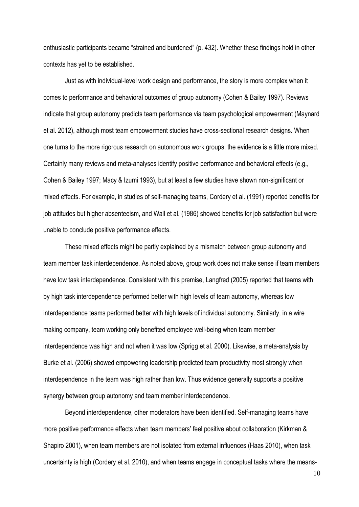enthusiastic participants became "strained and burdened" (p. 432). Whether these findings hold in other contexts has yet to be established.

Just as with individual-level work design and performance, the story is more complex when it comes to performance and behavioral outcomes of group autonomy (Cohen & Bailey 1997). Reviews indicate that group autonomy predicts team performance via team psychological empowerment (Maynard et al. 2012), although most team empowerment studies have cross-sectional research designs. When one turns to the more rigorous research on autonomous work groups, the evidence is a little more mixed. Certainly many reviews and meta-analyses identify positive performance and behavioral effects (e.g., Cohen & Bailey 1997; Macy & Izumi 1993), but at least a few studies have shown non-significant or mixed effects. For example, in studies of self-managing teams, Cordery et al. (1991) reported benefits for job attitudes but higher absenteeism, and Wall et al. (1986) showed benefits for job satisfaction but were unable to conclude positive performance effects.

These mixed effects might be partly explained by a mismatch between group autonomy and team member task interdependence. As noted above, group work does not make sense if team members have low task interdependence. Consistent with this premise, Langfred (2005) reported that teams with by high task interdependence performed better with high levels of team autonomy, whereas low interdependence teams performed better with high levels of individual autonomy. Similarly, in a wire making company, team working only benefited employee well-being when team member interdependence was high and not when it was low (Sprigg et al. 2000). Likewise, a meta-analysis by Burke et al. (2006) showed empowering leadership predicted team productivity most strongly when interdependence in the team was high rather than low. Thus evidence generally supports a positive synergy between group autonomy and team member interdependence.

Beyond interdependence, other moderators have been identified. Self-managing teams have more positive performance effects when team members' feel positive about collaboration (Kirkman & Shapiro 2001), when team members are not isolated from external influences (Haas 2010), when task uncertainty is high (Cordery et al. 2010), and when teams engage in conceptual tasks where the means-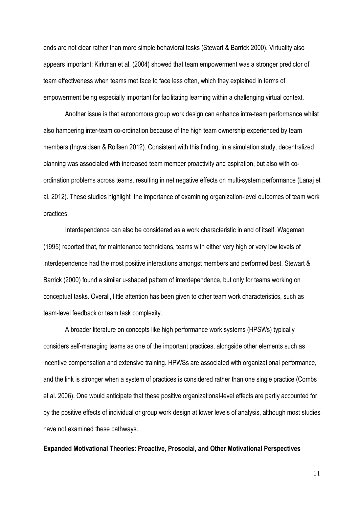ends are not clear rather than more simple behavioral tasks (Stewart & Barrick 2000). Virtuality also appears important: Kirkman et al. (2004) showed that team empowerment was a stronger predictor of team effectiveness when teams met face to face less often, which they explained in terms of empowerment being especially important for facilitating learning within a challenging virtual context.

Another issue is that autonomous group work design can enhance intra-team performance whilst also hampering inter-team co-ordination because of the high team ownership experienced by team members (Ingvaldsen & Rolfsen 2012). Consistent with this finding, in a simulation study, decentralized planning was associated with increased team member proactivity and aspiration, but also with coordination problems across teams, resulting in net negative effects on multi-system performance (Lanaj et al. 2012). These studies highlight the importance of examining organization-level outcomes of team work practices.

Interdependence can also be considered as a work characteristic in and of itself. Wageman (1995) reported that, for maintenance technicians, teams with either very high or very low levels of interdependence had the most positive interactions amongst members and performed best. Stewart & Barrick (2000) found a similar u-shaped pattern of interdependence, but only for teams working on conceptual tasks. Overall, little attention has been given to other team work characteristics, such as team-level feedback or team task complexity.

A broader literature on concepts like high performance work systems (HPSWs) typically considers self-managing teams as one of the important practices, alongside other elements such as incentive compensation and extensive training. HPWSs are associated with organizational performance, and the link is stronger when a system of practices is considered rather than one single practice (Combs et al. 2006). One would anticipate that these positive organizational-level effects are partly accounted for by the positive effects of individual or group work design at lower levels of analysis, although most studies have not examined these pathways.

#### <span id="page-14-0"></span>**Expanded Motivational Theories: Proactive, Prosocial, and Other Motivational Perspectives**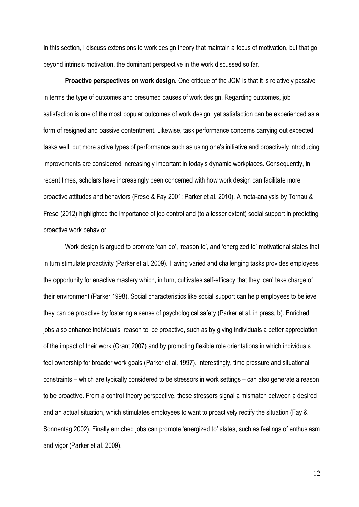In this section, I discuss extensions to work design theory that maintain a focus of motivation, but that go beyond intrinsic motivation, the dominant perspective in the work discussed so far.

**Proactive perspectives on work design.** One critique of the JCM is that it is relatively passive in terms the type of outcomes and presumed causes of work design. Regarding outcomes, job satisfaction is one of the most popular outcomes of work design, yet satisfaction can be experienced as a form of resigned and passive contentment. Likewise, task performance concerns carrying out expected tasks well, but more active types of performance such as using one's initiative and proactively introducing improvements are considered increasingly important in today's dynamic workplaces. Consequently, in recent times, scholars have increasingly been concerned with how work design can facilitate more proactive attitudes and behaviors (Frese & Fay 2001; Parker et al. 2010). A meta-analysis by Tornau & Frese (2012) highlighted the importance of job control and (to a lesser extent) social support in predicting proactive work behavior.

Work design is argued to promote 'can do', 'reason to', and 'energized to' motivational states that in turn stimulate proactivity (Parker et al. 2009). Having varied and challenging tasks provides employees the opportunity for enactive mastery which, in turn, cultivates self-efficacy that they 'can' take charge of their environment (Parker 1998). Social characteristics like social support can help employees to believe they can be proactive by fostering a sense of psychological safety (Parker et al. in press, b). Enriched jobs also enhance individuals' reason to' be proactive, such as by giving individuals a better appreciation of the impact of their work (Grant 2007) and by promoting flexible role orientations in which individuals feel ownership for broader work goals (Parker et al. 1997). Interestingly, time pressure and situational constraints – which are typically considered to be stressors in work settings – can also generate a reason to be proactive. From a control theory perspective, these stressors signal a mismatch between a desired and an actual situation, which stimulates employees to want to proactively rectify the situation (Fay & Sonnentag 2002). Finally enriched jobs can promote 'energized to' states, such as feelings of enthusiasm and vigor (Parker et al. 2009).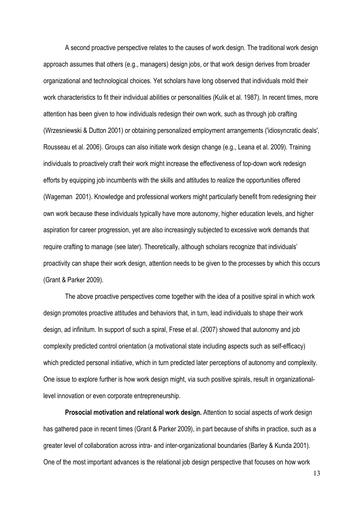A second proactive perspective relates to the causes of work design. The traditional work design approach assumes that others (e.g., managers) design jobs, or that work design derives from broader organizational and technological choices. Yet scholars have long observed that individuals mold their work characteristics to fit their individual abilities or personalities (Kulik et al. 1987). In recent times, more attention has been given to how individuals redesign their own work, such as through job crafting (Wrzesniewski & Dutton 2001) or obtaining personalized employment arrangements ('idiosyncratic deals', Rousseau et al. 2006). Groups can also initiate work design change (e.g., Leana et al. 2009). Training individuals to proactively craft their work might increase the effectiveness of top-down work redesign efforts by equipping job incumbents with the skills and attitudes to realize the opportunities offered (Wageman 2001). Knowledge and professional workers might particularly benefit from redesigning their own work because these individuals typically have more autonomy, higher education levels, and higher aspiration for career progression, yet are also increasingly subjected to excessive work demands that require crafting to manage (see later). Theoretically, although scholars recognize that individuals' proactivity can shape their work design, attention needs to be given to the processes by which this occurs (Grant & Parker 2009).

The above proactive perspectives come together with the idea of a positive spiral in which work design promotes proactive attitudes and behaviors that, in turn, lead individuals to shape their work design, ad infinitum. In support of such a spiral, Frese et al. (2007) showed that autonomy and job complexity predicted control orientation (a motivational state including aspects such as self-efficacy) which predicted personal initiative, which in turn predicted later perceptions of autonomy and complexity. One issue to explore further is how work design might, via such positive spirals, result in organizationallevel innovation or even corporate entrepreneurship.

**Prosocial motivation and relational work design.** Attention to social aspects of work design has gathered pace in recent times (Grant & Parker 2009), in part because of shifts in practice, such as a greater level of collaboration across intra- and inter-organizational boundaries (Barley & Kunda 2001). One of the most important advances is the relational job design perspective that focuses on how work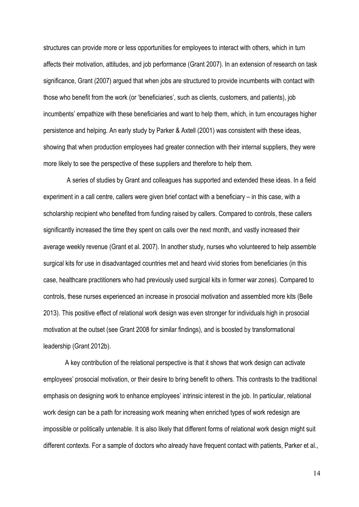structures can provide more or less opportunities for employees to interact with others, which in turn affects their motivation, attitudes, and job performance (Grant 2007). In an extension of research on task significance, Grant (2007) argued that when jobs are structured to provide incumbents with contact with those who benefit from the work (or 'beneficiaries', such as clients, customers, and patients), job incumbents' empathize with these beneficiaries and want to help them, which, in turn encourages higher persistence and helping. An early study by Parker & Axtell (2001) was consistent with these ideas, showing that when production employees had greater connection with their internal suppliers, they were more likely to see the perspective of these suppliers and therefore to help them.

A series of studies by Grant and colleagues has supported and extended these ideas. In a field experiment in a call centre, callers were given brief contact with a beneficiary – in this case, with a scholarship recipient who benefited from funding raised by callers. Compared to controls, these callers significantly increased the time they spent on calls over the next month, and vastly increased their average weekly revenue (Grant et al. 2007). In another study, nurses who volunteered to help assemble surgical kits for use in disadvantaged countries met and heard vivid stories from beneficiaries (in this case, healthcare practitioners who had previously used surgical kits in former war zones). Compared to controls, these nurses experienced an increase in prosocial motivation and assembled more kits (Belle 2013). This positive effect of relational work design was even stronger for individuals high in prosocial motivation at the outset (see Grant 2008 for similar findings), and is boosted by transformational leadership (Grant 2012b).

A key contribution of the relational perspective is that it shows that work design can activate employees' prosocial motivation, or their desire to bring benefit to others. This contrasts to the traditional emphasis on designing work to enhance employees' intrinsic interest in the job. In particular, relational work design can be a path for increasing work meaning when enriched types of work redesign are impossible or politically untenable. It is also likely that different forms of relational work design might suit different contexts. For a sample of doctors who already have frequent contact with patients, Parker et al.,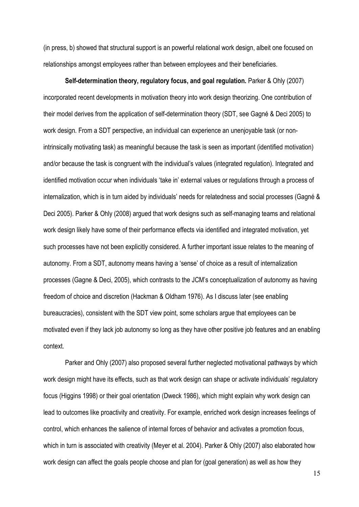(in press, b) showed that structural support is an powerful relational work design, albeit one focused on relationships amongst employees rather than between employees and their beneficiaries.

**Self-determination theory, regulatory focus, and goal regulation.** Parker & Ohly (2007) incorporated recent developments in motivation theory into work design theorizing. One contribution of their model derives from the application of self-determination theory (SDT, see Gagné & Deci 2005) to work design. From a SDT perspective, an individual can experience an unenjoyable task (or nonintrinsically motivating task) as meaningful because the task is seen as important (identified motivation) and/or because the task is congruent with the individual's values (integrated regulation). Integrated and identified motivation occur when individuals 'take in' external values or regulations through a process of internalization, which is in turn aided by individuals' needs for relatedness and social processes (Gagné & Deci 2005). Parker & Ohly (2008) argued that work designs such as self-managing teams and relational work design likely have some of their performance effects via identified and integrated motivation, yet such processes have not been explicitly considered. A further important issue relates to the meaning of autonomy. From a SDT, autonomy means having a 'sense' of choice as a result of internalization processes (Gagne & Deci, 2005), which contrasts to the JCM's conceptualization of autonomy as having freedom of choice and discretion (Hackman & Oldham 1976). As I discuss later (see enabling bureaucracies), consistent with the SDT view point, some scholars argue that employees can be motivated even if they lack job autonomy so long as they have other positive job features and an enabling context.

Parker and Ohly (2007) also proposed several further neglected motivational pathways by which work design might have its effects, such as that work design can shape or activate individuals' regulatory focus (Higgins 1998) or their goal orientation (Dweck 1986), which might explain why work design can lead to outcomes like proactivity and creativity. For example, enriched work design increases feelings of control, which enhances the salience of internal forces of behavior and activates a promotion focus, which in turn is associated with creativity (Meyer et al. 2004). Parker & Ohly (2007) also elaborated how work design can affect the goals people choose and plan for (goal generation) as well as how they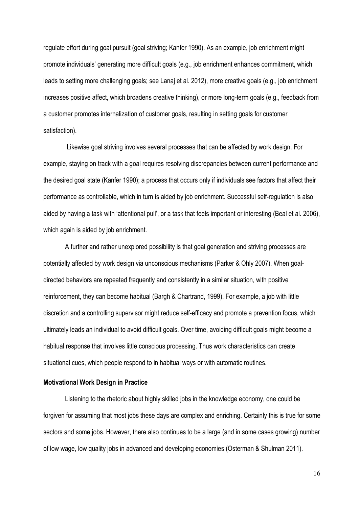regulate effort during goal pursuit (goal striving; Kanfer 1990). As an example, job enrichment might promote individuals' generating more difficult goals (e.g., job enrichment enhances commitment, which leads to setting more challenging goals; see Lanaj et al. 2012), more creative goals (e.g., job enrichment increases positive affect, which broadens creative thinking), or more long-term goals (e.g., feedback from a customer promotes internalization of customer goals, resulting in setting goals for customer satisfaction).

Likewise goal striving involves several processes that can be affected by work design. For example, staying on track with a goal requires resolving discrepancies between current performance and the desired goal state (Kanfer 1990); a process that occurs only if individuals see factors that affect their performance as controllable, which in turn is aided by job enrichment. Successful self-regulation is also aided by having a task with 'attentional pull', or a task that feels important or interesting (Beal et al. 2006), which again is aided by job enrichment.

A further and rather unexplored possibility is that goal generation and striving processes are potentially affected by work design via unconscious mechanisms (Parker & Ohly 2007). When goaldirected behaviors are repeated frequently and consistently in a similar situation, with positive reinforcement, they can become habitual (Bargh & Chartrand, 1999). For example, a job with little discretion and a controlling supervisor might reduce self-efficacy and promote a prevention focus, which ultimately leads an individual to avoid difficult goals. Over time, avoiding difficult goals might become a habitual response that involves little conscious processing. Thus work characteristics can create situational cues, which people respond to in habitual ways or with automatic routines.

#### <span id="page-19-0"></span>**Motivational Work Design in Practice**

Listening to the rhetoric about highly skilled jobs in the knowledge economy, one could be forgiven for assuming that most jobs these days are complex and enriching. Certainly this is true for some sectors and some jobs. However, there also continues to be a large (and in some cases growing) number of low wage, low quality jobs in advanced and developing economies (Osterman & Shulman 2011).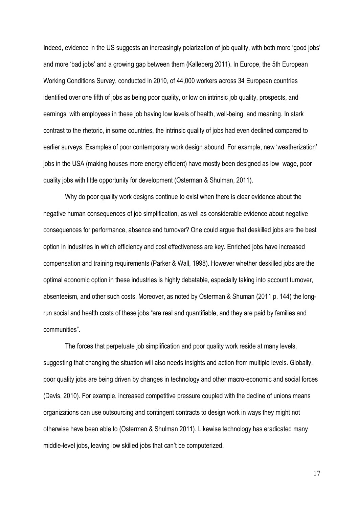Indeed, evidence in the US suggests an increasingly polarization of job quality, with both more 'good jobs' and more 'bad jobs' and a growing gap between them (Kalleberg 2011). In Europe, the 5th European Working Conditions Survey, conducted in 2010, of 44,000 workers across 34 European countries identified over one fifth of jobs as being poor quality, or low on intrinsic job quality, prospects, and earnings, with employees in these job having low levels of health, well-being, and meaning. In stark contrast to the rhetoric, in some countries, the intrinsic quality of jobs had even declined compared to earlier surveys. Examples of poor contemporary work design abound. For example, new 'weatherization' jobs in the USA (making houses more energy efficient) have mostly been designed as low wage, poor quality jobs with little opportunity for development (Osterman & Shulman, 2011).

Why do poor quality work designs continue to exist when there is clear evidence about the negative human consequences of job simplification, as well as considerable evidence about negative consequences for performance, absence and turnover? One could argue that deskilled jobs are the best option in industries in which efficiency and cost effectiveness are key. Enriched jobs have increased compensation and training requirements (Parker & Wall, 1998). However whether deskilled jobs are the optimal economic option in these industries is highly debatable, especially taking into account turnover, absenteeism, and other such costs. Moreover, as noted by Osterman & Shuman (2011 p. 144) the longrun social and health costs of these jobs "are real and quantifiable, and they are paid by families and communities".

The forces that perpetuate job simplification and poor quality work reside at many levels, suggesting that changing the situation will also needs insights and action from multiple levels. Globally, poor quality jobs are being driven by changes in technology and other macro-economic and social forces (Davis, 2010). For example, increased competitive pressure coupled with the decline of unions means organizations can use outsourcing and contingent contracts to design work in ways they might not otherwise have been able to (Osterman & Shulman 2011). Likewise technology has eradicated many middle-level jobs, leaving low skilled jobs that can't be computerized.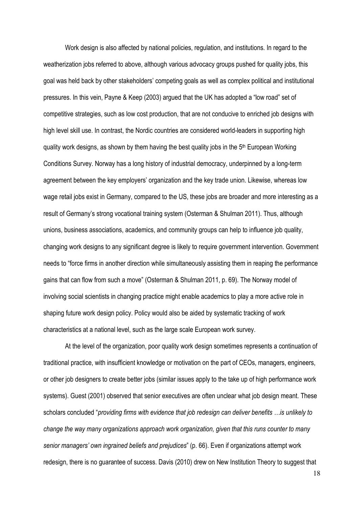Work design is also affected by national policies, regulation, and institutions. In regard to the weatherization jobs referred to above, although various advocacy groups pushed for quality jobs, this goal was held back by other stakeholders' competing goals as well as complex political and institutional pressures. In this vein, Payne & Keep (2003) argued that the UK has adopted a "low road" set of competitive strategies, such as low cost production, that are not conducive to enriched job designs with high level skill use. In contrast, the Nordic countries are considered world-leaders in supporting high quality work designs, as shown by them having the best quality jobs in the  $5<sup>th</sup>$  European Working Conditions Survey. Norway has a long history of industrial democracy, underpinned by a long-term agreement between the key employers' organization and the key trade union. Likewise, whereas low wage retail jobs exist in Germany, compared to the US, these jobs are broader and more interesting as a result of Germany's strong vocational training system (Osterman & Shulman 2011). Thus, although unions, business associations, academics, and community groups can help to influence job quality, changing work designs to any significant degree is likely to require government intervention. Government needs to "force firms in another direction while simultaneously assisting them in reaping the performance gains that can flow from such a move" (Osterman & Shulman 2011, p. 69). The Norway model of involving social scientists in changing practice might enable academics to play a more active role in shaping future work design policy. Policy would also be aided by systematic tracking of work characteristics at a national level, such as the large scale European work survey.

At the level of the organization, poor quality work design sometimes represents a continuation of traditional practice, with insufficient knowledge or motivation on the part of CEOs, managers, engineers, or other job designers to create better jobs (similar issues apply to the take up of high performance work systems). Guest (2001) observed that senior executives are often unclear what job design meant. These scholars concluded "*providing firms with evidence that job redesign can deliver benefits …is unlikely to change the way many organizations approach work organization, given that this runs counter to many senior managers' own ingrained beliefs and prejudices*" (p. 66). Even if organizations attempt work redesign, there is no guarantee of success. Davis (2010) drew on New Institution Theory to suggest that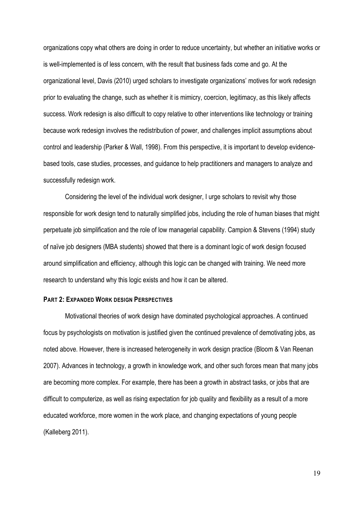organizations copy what others are doing in order to reduce uncertainty, but whether an initiative works or is well-implemented is of less concern, with the result that business fads come and go. At the organizational level, Davis (2010) urged scholars to investigate organizations' motives for work redesign prior to evaluating the change, such as whether it is mimicry, coercion, legitimacy, as this likely affects success. Work redesign is also difficult to copy relative to other interventions like technology or training because work redesign involves the redistribution of power, and challenges implicit assumptions about control and leadership (Parker & Wall, 1998). From this perspective, it is important to develop evidencebased tools, case studies, processes, and guidance to help practitioners and managers to analyze and successfully redesign work.

Considering the level of the individual work designer, I urge scholars to revisit why those responsible for work design tend to naturally simplified jobs, including the role of human biases that might perpetuate job simplification and the role of low managerial capability. Campion & Stevens (1994) study of naïve job designers (MBA students) showed that there is a dominant logic of work design focused around simplification and efficiency, although this logic can be changed with training. We need more research to understand why this logic exists and how it can be altered.

### <span id="page-22-0"></span>**PART 2: EXPANDED WORK DESIGN PERSPECTIVES**

Motivational theories of work design have dominated psychological approaches. A continued focus by psychologists on motivation is justified given the continued prevalence of demotivating jobs, as noted above. However, there is increased heterogeneity in work design practice (Bloom & Van Reenan 2007). Advances in technology, a growth in knowledge work, and other such forces mean that many jobs are becoming more complex. For example, there has been a growth in abstract tasks, or jobs that are difficult to computerize, as well as rising expectation for job quality and flexibility as a result of a more educated workforce, more women in the work place, and changing expectations of young people (Kalleberg 2011).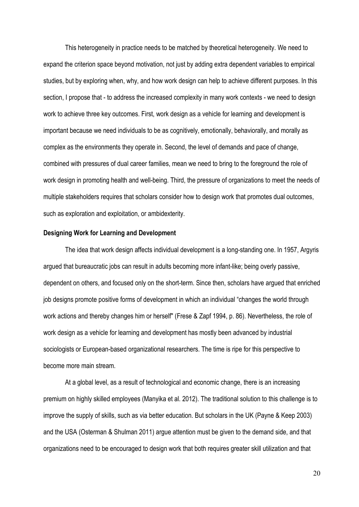This heterogeneity in practice needs to be matched by theoretical heterogeneity. We need to expand the criterion space beyond motivation, not just by adding extra dependent variables to empirical studies, but by exploring when, why, and how work design can help to achieve different purposes. In this section, I propose that - to address the increased complexity in many work contexts - we need to design work to achieve three key outcomes. First, work design as a vehicle for learning and development is important because we need individuals to be as cognitively, emotionally, behaviorally, and morally as complex as the environments they operate in. Second, the level of demands and pace of change, combined with pressures of dual career families, mean we need to bring to the foreground the role of work design in promoting health and well-being. Third, the pressure of organizations to meet the needs of multiple stakeholders requires that scholars consider how to design work that promotes dual outcomes, such as exploration and exploitation, or ambidexterity.

#### <span id="page-23-0"></span>**Designing Work for Learning and Development**

The idea that work design affects individual development is a long-standing one. In 1957, Argyris argued that bureaucratic jobs can result in adults becoming more infant-like; being overly passive, dependent on others, and focused only on the short-term. Since then, scholars have argued that enriched job designs promote positive forms of development in which an individual "changes the world through work actions and thereby changes him or herself" (Frese & Zapf 1994, p. 86). Nevertheless, the role of work design as a vehicle for learning and development has mostly been advanced by industrial sociologists or European-based organizational researchers. The time is ripe for this perspective to become more main stream.

At a global level, as a result of technological and economic change, there is an increasing premium on highly skilled employees (Manyika et al. 2012). The traditional solution to this challenge is to improve the supply of skills, such as via better education. But scholars in the UK (Payne & Keep 2003) and the USA (Osterman & Shulman 2011) argue attention must be given to the demand side, and that organizations need to be encouraged to design work that both requires greater skill utilization and that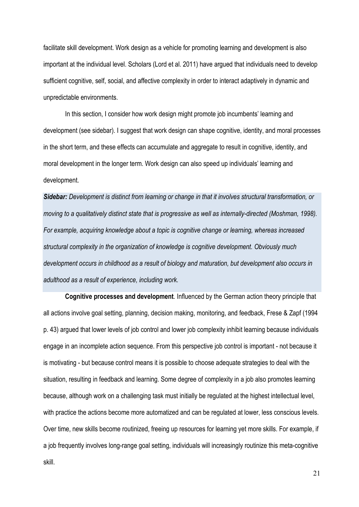facilitate skill development. Work design as a vehicle for promoting learning and development is also important at the individual level. Scholars (Lord et al. 2011) have argued that individuals need to develop sufficient cognitive, self, social, and affective complexity in order to interact adaptively in dynamic and unpredictable environments.

In this section, I consider how work design might promote job incumbents' learning and development (see sidebar). I suggest that work design can shape cognitive, identity, and moral processes in the short term, and these effects can accumulate and aggregate to result in cognitive, identity, and moral development in the longer term. Work design can also speed up individuals' learning and development.

*Sidebar: Development is distinct from learning or change in that it involves structural transformation, or moving to a qualitatively distinct state that is progressive as well as internally-directed (Moshman, 1998). For example, acquiring knowledge about a topic is cognitive change or learning, whereas increased structural complexity in the organization of knowledge is cognitive development. Obviously much development occurs in childhood as a result of biology and maturation, but development also occurs in adulthood as a result of experience, including work.*

**Cognitive processes and development**. Influenced by the German action theory principle that all actions involve goal setting, planning, decision making, monitoring, and feedback, Frese & Zapf (1994 p. 43) argued that lower levels of job control and lower job complexity inhibit learning because individuals engage in an incomplete action sequence. From this perspective job control is important - not because it is motivating - but because control means it is possible to choose adequate strategies to deal with the situation, resulting in feedback and learning. Some degree of complexity in a job also promotes learning because, although work on a challenging task must initially be regulated at the highest intellectual level, with practice the actions become more automatized and can be regulated at lower, less conscious levels. Over time, new skills become routinized, freeing up resources for learning yet more skills. For example, if a job frequently involves long-range goal setting, individuals will increasingly routinize this meta-cognitive skill.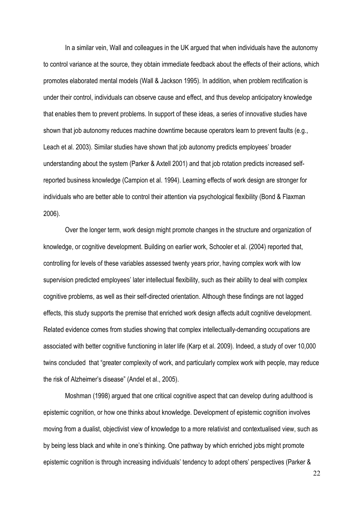In a similar vein, Wall and colleagues in the UK argued that when individuals have the autonomy to control variance at the source, they obtain immediate feedback about the effects of their actions, which promotes elaborated mental models (Wall & Jackson 1995). In addition, when problem rectification is under their control, individuals can observe cause and effect, and thus develop anticipatory knowledge that enables them to prevent problems. In support of these ideas, a series of innovative studies have shown that job autonomy reduces machine downtime because operators learn to prevent faults (e.g., Leach et al. 2003). Similar studies have shown that job autonomy predicts employees' broader understanding about the system (Parker & Axtell 2001) and that job rotation predicts increased selfreported business knowledge (Campion et al. 1994). Learning effects of work design are stronger for individuals who are better able to control their attention via psychological flexibility (Bond & Flaxman 2006).

Over the longer term, work design might promote changes in the structure and organization of knowledge, or cognitive development. Building on earlier work, Schooler et al. (2004) reported that, controlling for levels of these variables assessed twenty years prior, having complex work with low supervision predicted employees' later intellectual flexibility, such as their ability to deal with complex cognitive problems, as well as their self-directed orientation. Although these findings are not lagged effects, this study supports the premise that enriched work design affects adult cognitive development. Related evidence comes from studies showing that complex intellectually-demanding occupations are associated with better cognitive functioning in later life (Karp et al. 2009). Indeed, a study of over 10,000 twins concluded that "greater complexity of work, and particularly complex work with people, may reduce the risk of Alzheimer's disease" (Andel et al., 2005).

Moshman (1998) argued that one critical cognitive aspect that can develop during adulthood is epistemic cognition, or how one thinks about knowledge. Development of epistemic cognition involves moving from a dualist, objectivist view of knowledge to a more relativist and contextualised view, such as by being less black and white in one's thinking. One pathway by which enriched jobs might promote epistemic cognition is through increasing individuals' tendency to adopt others' perspectives (Parker &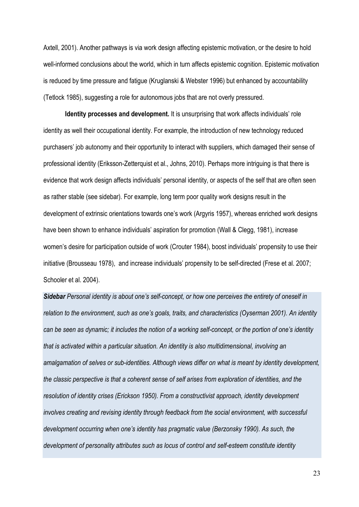Axtell, 2001). Another pathways is via work design affecting epistemic motivation, or the desire to hold well-informed conclusions about the world, which in turn affects epistemic cognition. Epistemic motivation is reduced by time pressure and fatigue (Kruglanski & Webster 1996) but enhanced by accountability (Tetlock 1985), suggesting a role for autonomous jobs that are not overly pressured.

**Identity processes and development.** It is unsurprising that work affects individuals' role identity as well their occupational identity. For example, the introduction of new technology reduced purchasers' job autonomy and their opportunity to interact with suppliers, which damaged their sense of professional identity (Eriksson-Zetterquist et al., Johns, 2010). Perhaps more intriguing is that there is evidence that work design affects individuals' personal identity, or aspects of the self that are often seen as rather stable (see sidebar). For example, long term poor quality work designs result in the development of extrinsic orientations towards one's work (Argyris 1957), whereas enriched work designs have been shown to enhance individuals' aspiration for promotion (Wall & Clegg, 1981), increase women's desire for participation outside of work (Crouter 1984), boost individuals' propensity to use their initiative (Brousseau 1978), and increase individuals' propensity to be self-directed (Frese et al. 2007; Schooler et al. 2004).

*Sidebar Personal identity is about one's self-concept, or how one perceives the entirety of oneself in relation to the environment, such as one's goals, traits, and characteristics (Oyserman 2001). An identity can be seen as dynamic; it includes the notion of a working self-concept, or the portion of one's identity that is activated within a particular situation. An identity is also multidimensional, involving an amalgamation of selves or sub-identities. Although views differ on what is meant by identity development, the classic perspective is that a coherent sense of self arises from exploration of identities, and the resolution of identity crises (Erickson 1950). From a constructivist approach, identity development involves creating and revising identity through feedback from the social environment, with successful development occurring when one's identity has pragmatic value (Berzonsky 1990). As such, the development of personality attributes such as locus of control and self-esteem constitute identity*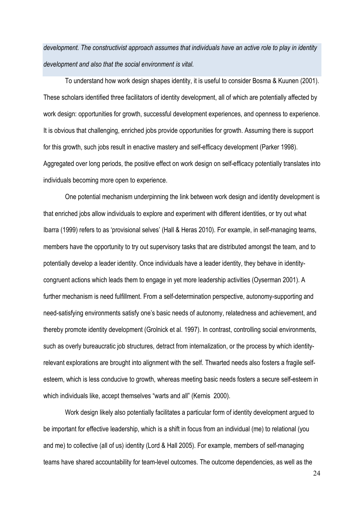*development. The constructivist approach assumes that individuals have an active role to play in identity development and also that the social environment is vital.*

To understand how work design shapes identity, it is useful to consider Bosma & Kuunen (2001). These scholars identified three facilitators of identity development, all of which are potentially affected by work design: opportunities for growth, successful development experiences, and openness to experience. It is obvious that challenging, enriched jobs provide opportunities for growth. Assuming there is support for this growth, such jobs result in enactive mastery and self-efficacy development (Parker 1998). Aggregated over long periods, the positive effect on work design on self-efficacy potentially translates into individuals becoming more open to experience.

One potential mechanism underpinning the link between work design and identity development is that enriched jobs allow individuals to explore and experiment with different identities, or try out what Ibarra (1999) refers to as 'provisional selves' (Hall & Heras 2010). For example, in self-managing teams, members have the opportunity to try out supervisory tasks that are distributed amongst the team, and to potentially develop a leader identity. Once individuals have a leader identity, they behave in identitycongruent actions which leads them to engage in yet more leadership activities (Oyserman 2001). A further mechanism is need fulfillment. From a self-determination perspective, autonomy-supporting and need-satisfying environments satisfy one's basic needs of autonomy, relatedness and achievement, and thereby promote identity development (Grolnick et al. 1997). In contrast, controlling social environments, such as overly bureaucratic job structures, detract from internalization, or the process by which identityrelevant explorations are brought into alignment with the self. Thwarted needs also fosters a fragile selfesteem, which is less conducive to growth, whereas meeting basic needs fosters a secure self-esteem in which individuals like, accept themselves "warts and all" (Kernis 2000).

Work design likely also potentially facilitates a particular form of identity development argued to be important for effective leadership, which is a shift in focus from an individual (me) to relational (you and me) to collective (all of us) identity (Lord & Hall 2005). For example, members of self-managing teams have shared accountability for team-level outcomes. The outcome dependencies, as well as the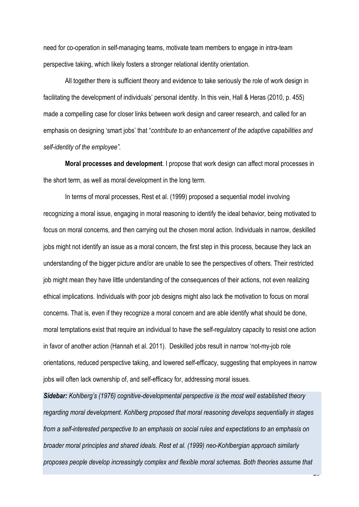need for co-operation in self-managing teams, motivate team members to engage in intra-team perspective taking, which likely fosters a stronger relational identity orientation.

All together there is sufficient theory and evidence to take seriously the role of work design in facilitating the development of individuals' personal identity. In this vein, Hall & Heras (2010, p. 455) made a compelling case for closer links between work design and career research, and called for an emphasis on designing 'smart jobs' that "*contribute to an enhancement of the adaptive capabilities and self-identity of the employee".* 

**Moral processes and development**. I propose that work design can affect moral processes in the short term, as well as moral development in the long term.

In terms of moral processes, Rest et al. (1999) proposed a sequential model involving recognizing a moral issue, engaging in moral reasoning to identify the ideal behavior, being motivated to focus on moral concerns, and then carrying out the chosen moral action. Individuals in narrow, deskilled iobs might not identify an issue as a moral concern, the first step in this process, because they lack an understanding of the bigger picture and/or are unable to see the perspectives of others. Their restricted job might mean they have little understanding of the consequences of their actions, not even realizing ethical implications. Individuals with poor job designs might also lack the motivation to focus on moral concerns. That is, even if they recognize a moral concern and are able identify what should be done, moral temptations exist that require an individual to have the self-regulatory capacity to resist one action in favor of another action (Hannah et al. 2011). Deskilled jobs result in narrow 'not-my-job role orientations, reduced perspective taking, and lowered self-efficacy, suggesting that employees in narrow jobs will often lack ownership of, and self-efficacy for, addressing moral issues.

*Sidebar: Kohlberg's (1976) cognitive-developmental perspective is the most well established theory regarding moral development. Kohlberg proposed that moral reasoning develops sequentially in stages from a self-interested perspective to an emphasis on social rules and expectations to an emphasis on broader moral principles and shared ideals. Rest et al. (1999) neo-Kohlbergian approach similarly proposes people develop increasingly complex and flexible moral schemas. Both theories assume that* 

 $\overline{2}$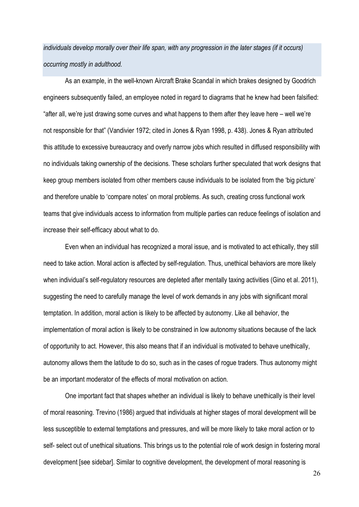*individuals develop morally over their life span, with any progression in the later stages (if it occurs) occurring mostly in adulthood.*

As an example, in the well-known Aircraft Brake Scandal in which brakes designed by Goodrich engineers subsequently failed, an employee noted in regard to diagrams that he knew had been falsified: "after all, we're just drawing some curves and what happens to them after they leave here – well we're not responsible for that" (Vandivier 1972; cited in Jones & Ryan 1998, p. 438). Jones & Ryan attributed this attitude to excessive bureaucracy and overly narrow jobs which resulted in diffused responsibility with no individuals taking ownership of the decisions. These scholars further speculated that work designs that keep group members isolated from other members cause individuals to be isolated from the 'big picture' and therefore unable to 'compare notes' on moral problems. As such, creating cross functional work teams that give individuals access to information from multiple parties can reduce feelings of isolation and increase their self-efficacy about what to do.

Even when an individual has recognized a moral issue, and is motivated to act ethically, they still need to take action. Moral action is affected by self-regulation. Thus, unethical behaviors are more likely when individual's self-regulatory resources are depleted after mentally taxing activities (Gino et al. 2011), suggesting the need to carefully manage the level of work demands in any jobs with significant moral temptation. In addition, moral action is likely to be affected by autonomy. Like all behavior, the implementation of moral action is likely to be constrained in low autonomy situations because of the lack of opportunity to act. However, this also means that if an individual is motivated to behave unethically, autonomy allows them the latitude to do so, such as in the cases of rogue traders. Thus autonomy might be an important moderator of the effects of moral motivation on action.

One important fact that shapes whether an individual is likely to behave unethically is their level of moral reasoning. Trevino (1986) argued that individuals at higher stages of moral development will be less susceptible to external temptations and pressures, and will be more likely to take moral action or to self- select out of unethical situations. This brings us to the potential role of work design in fostering moral development [see sidebar]. Similar to cognitive development, the development of moral reasoning is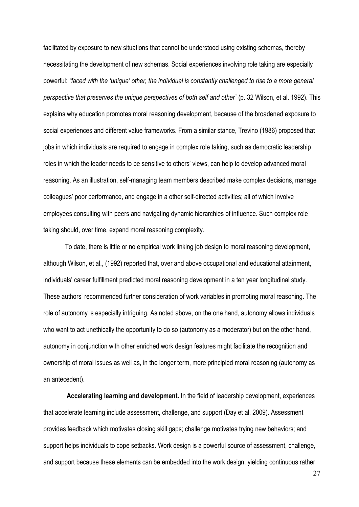facilitated by exposure to new situations that cannot be understood using existing schemas, thereby necessitating the development of new schemas. Social experiences involving role taking are especially powerful: *"faced with the 'unique' other, the individual is constantly challenged to rise to a more general perspective that preserves the unique perspectives of both self and other"* (p. 32 Wilson, et al. 1992). This explains why education promotes moral reasoning development, because of the broadened exposure to social experiences and different value frameworks. From a similar stance, Trevino (1986) proposed that jobs in which individuals are required to engage in complex role taking, such as democratic leadership roles in which the leader needs to be sensitive to others' views, can help to develop advanced moral reasoning. As an illustration, self-managing team members described make complex decisions, manage colleagues' poor performance, and engage in a other self-directed activities; all of which involve employees consulting with peers and navigating dynamic hierarchies of influence. Such complex role taking should, over time, expand moral reasoning complexity.

To date, there is little or no empirical work linking job design to moral reasoning development, although Wilson, et al., (1992) reported that, over and above occupational and educational attainment, individuals' career fulfillment predicted moral reasoning development in a ten year longitudinal study. These authors' recommended further consideration of work variables in promoting moral reasoning. The role of autonomy is especially intriguing. As noted above, on the one hand, autonomy allows individuals who want to act unethically the opportunity to do so (autonomy as a moderator) but on the other hand, autonomy in conjunction with other enriched work design features might facilitate the recognition and ownership of moral issues as well as, in the longer term, more principled moral reasoning (autonomy as an antecedent).

**Accelerating learning and development.** In the field of leadership development, experiences that accelerate learning include assessment, challenge, and support (Day et al. 2009). Assessment provides feedback which motivates closing skill gaps; challenge motivates trying new behaviors; and support helps individuals to cope setbacks. Work design is a powerful source of assessment, challenge, and support because these elements can be embedded into the work design, yielding continuous rather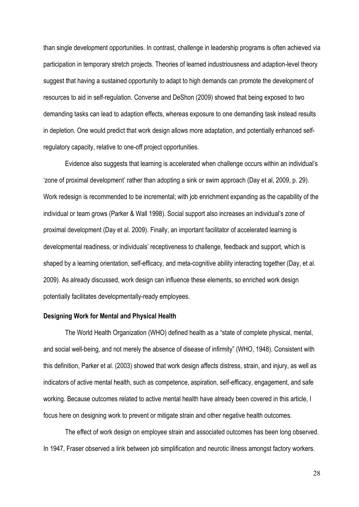than single development opportunities. In contrast, challenge in leadership programs is often achieved via participation in temporary stretch projects. Theories of learned industriousness and adaption-level theory suggest that having a sustained opportunity to adapt to high demands can promote the development of resources to aid in self-regulation. Converse and DeShon (2009) showed that being exposed to two demanding tasks can lead to adaption effects, whereas exposure to one demanding task instead results in depletion. One would predict that work design allows more adaptation, and potentially enhanced selfregulatory capacity, relative to one-off project opportunities.

Evidence also suggests that learning is accelerated when challenge occurs within an individual's 'zone of proximal development' rather than adopting a sink or swim approach (Day et al, 2009, p. 29). Work redesign is recommended to be incremental; with job enrichment expanding as the capability of the individual or team grows (Parker & Wall 1998). Social support also increases an individual's zone of proximal development (Day et al. 2009). Finally, an important facilitator of accelerated learning is developmental readiness, or individuals' receptiveness to challenge, feedback and support, which is shaped by a learning orientation, self-efficacy, and meta-cognitive ability interacting together (Day, et al. 2009). As already discussed, work design can influence these elements, so enriched work design potentially facilitates developmentally-ready employees.

# <span id="page-31-0"></span>**Designing Work for Mental and Physical Health**

The World Health Organization (WHO) defined health as a "state of complete physical, mental, and social well-being, and not merely the absence of disease of infirmity" (WHO, 1948). Consistent with this definition, Parker et al. (2003) showed that work design affects distress, strain, and injury, as well as indicators of active mental health, such as competence, aspiration, self-efficacy, engagement, and safe working. Because outcomes related to active mental health have already been covered in this article, I focus here on designing work to prevent or mitigate strain and other negative health outcomes.

The effect of work design on employee strain and associated outcomes has been long observed. In 1947, Fraser observed a link between job simplification and neurotic illness amongst factory workers.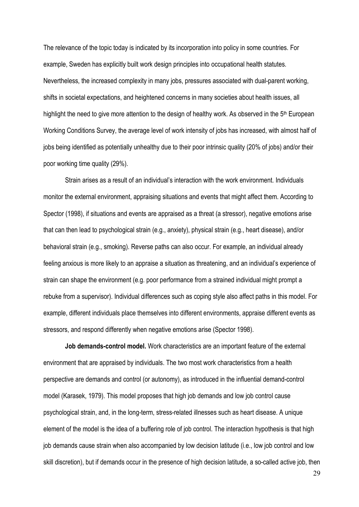The relevance of the topic today is indicated by its incorporation into policy in some countries. For example, Sweden has explicitly built work design principles into occupational health statutes. Nevertheless, the increased complexity in many jobs, pressures associated with dual-parent working, shifts in societal expectations, and heightened concerns in many societies about health issues, all highlight the need to give more attention to the design of healthy work. As observed in the 5<sup>th</sup> European Working Conditions Survey, the average level of work intensity of jobs has increased, with almost half of jobs being identified as potentially unhealthy due to their poor intrinsic quality (20% of jobs) and/or their poor working time quality (29%).

Strain arises as a result of an individual's interaction with the work environment. Individuals monitor the external environment, appraising situations and events that might affect them. According to Spector (1998), if situations and events are appraised as a threat (a stressor), negative emotions arise that can then lead to psychological strain (e.g., anxiety), physical strain (e.g., heart disease), and/or behavioral strain (e.g., smoking). Reverse paths can also occur. For example, an individual already feeling anxious is more likely to an appraise a situation as threatening, and an individual's experience of strain can shape the environment (e.g. poor performance from a strained individual might prompt a rebuke from a supervisor). Individual differences such as coping style also affect paths in this model. For example, different individuals place themselves into different environments, appraise different events as stressors, and respond differently when negative emotions arise (Spector 1998).

**Job demands-control model.** Work characteristics are an important feature of the external environment that are appraised by individuals. The two most work characteristics from a health perspective are demands and control (or autonomy), as introduced in the influential demand-control model (Karasek, 1979). This model proposes that high job demands and low job control cause psychological strain, and, in the long-term, stress-related illnesses such as heart disease. A unique element of the model is the idea of a buffering role of job control. The interaction hypothesis is that high job demands cause strain when also accompanied by low decision latitude (i.e., low job control and low skill discretion), but if demands occur in the presence of high decision latitude, a so-called active job, then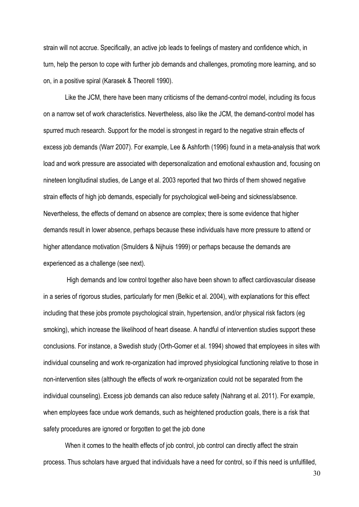strain will not accrue. Specifically, an active job leads to feelings of mastery and confidence which, in turn, help the person to cope with further job demands and challenges, promoting more learning, and so on, in a positive spiral (Karasek & Theorell 1990).

Like the JCM, there have been many criticisms of the demand-control model, including its focus on a narrow set of work characteristics. Nevertheless, also like the JCM, the demand-control model has spurred much research. Support for the model is strongest in regard to the negative strain effects of excess job demands (Warr 2007). For example, Lee & Ashforth (1996) found in a meta-analysis that work load and work pressure are associated with depersonalization and emotional exhaustion and, focusing on nineteen longitudinal studies, de Lange et al. 2003 reported that two thirds of them showed negative strain effects of high job demands, especially for psychological well-being and sickness/absence. Nevertheless, the effects of demand on absence are complex; there is some evidence that higher demands result in lower absence, perhaps because these individuals have more pressure to attend or higher attendance motivation (Smulders & Nijhuis 1999) or perhaps because the demands are experienced as a challenge (see next).

High demands and low control together also have been shown to affect cardiovascular disease in a series of rigorous studies, particularly for men (Belkic et al. 2004), with explanations for this effect including that these jobs promote psychological strain, hypertension, and/or physical risk factors (eg smoking), which increase the likelihood of heart disease. A handful of intervention studies support these conclusions. For instance, a Swedish study (Orth-Gomer et al. 1994) showed that employees in sites with individual counseling and work re-organization had improved physiological functioning relative to those in non-intervention sites (although the effects of work re-organization could not be separated from the individual counseling). Excess job demands can also reduce safety (Nahrang et al. 2011). For example, when employees face undue work demands, such as heightened production goals, there is a risk that safety procedures are ignored or forgotten to get the job done

When it comes to the health effects of job control, job control can directly affect the strain process. Thus scholars have argued that individuals have a need for control, so if this need is unfulfilled,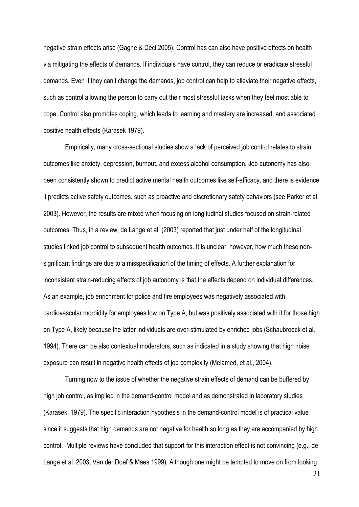negative strain effects arise (Gagne & Deci 2005). Control has can also have positive effects on health via mitigating the effects of demands. If individuals have control, they can reduce or eradicate stressful demands. Even if they can't change the demands, job control can help to alleviate their negative effects, such as control allowing the person to carry out their most stressful tasks when they feel most able to cope. Control also promotes coping, which leads to learning and mastery are increased, and associated positive health effects (Karasek 1979).

Empirically, many cross-sectional studies show a lack of perceived job control relates to strain outcomes like anxiety, depression, burnout, and excess alcohol consumption. Job autonomy has also been consistently shown to predict active mental health outcomes like self-efficacy, and there is evidence it predicts active safety outcomes, such as proactive and discretionary safety behaviors (see Parker et al. 2003). However, the results are mixed when focusing on longitudinal studies focused on strain-related outcomes. Thus, in a review, de Lange et al. (2003) reported that just under half of the longitudinal studies linked job control to subsequent health outcomes. It is unclear, however, how much these nonsignificant findings are due to a misspecification of the timing of effects. A further explanation for inconsistent strain-reducing effects of job autonomy is that the effects depend on individual differences. As an example, job enrichment for police and fire employees was negatively associated with cardiovascular morbidity for employees low on Type A, but was positively associated with it for those high on Type A, likely because the latter individuals are over-stimulated by enriched jobs (Schaubroeck et al. 1994). There can be also contextual moderators, such as indicated in a study showing that high noise exposure can result in negative health effects of job complexity (Melamed, et al., 2004).

Turning now to the issue of whether the negative strain effects of demand can be buffered by high job control, as implied in the demand-control model and as demonstrated in laboratory studies (Karasek, 1979). The specific interaction hypothesis in the demand-control model is of practical value since it suggests that high demands are not negative for health so long as they are accompanied by high control. Multiple reviews have concluded that support for this interaction effect is not convincing (e.g., de Lange et al. 2003; Van der Doef & Maes 1999). Although one might be tempted to move on from looking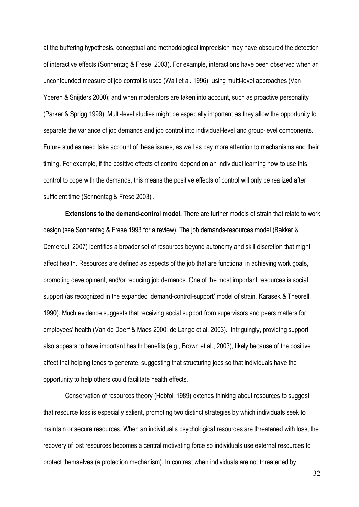at the buffering hypothesis, conceptual and methodological imprecision may have obscured the detection of interactive effects (Sonnentag & Frese 2003). For example, interactions have been observed when an unconfounded measure of job control is used (Wall et al. 1996); using multi-level approaches (Van Yperen & Snijders 2000); and when moderators are taken into account, such as proactive personality (Parker & Sprigg 1999). Multi-level studies might be especially important as they allow the opportunity to separate the variance of job demands and job control into individual-level and group-level components. Future studies need take account of these issues, as well as pay more attention to mechanisms and their timing. For example, if the positive effects of control depend on an individual learning how to use this control to cope with the demands, this means the positive effects of control will only be realized after sufficient time (Sonnentag & Frese 2003) .

**Extensions to the demand-control model.** There are further models of strain that relate to work design (see Sonnentag & Frese 1993 for a review). The job demands-resources model (Bakker & Demerouti 2007) identifies a broader set of resources beyond autonomy and skill discretion that might affect health. Resources are defined as aspects of the job that are functional in achieving work goals, promoting development, and/or reducing job demands. One of the most important resources is social support (as recognized in the expanded 'demand-control-support' model of strain, Karasek & Theorell, 1990). Much evidence suggests that receiving social support from supervisors and peers matters for employees' health (Van de Doerf & Maes 2000; de Lange et al. 2003). Intriguingly, providing support also appears to have important health benefits (e.g., Brown et al., 2003), likely because of the positive affect that helping tends to generate, suggesting that structuring jobs so that individuals have the opportunity to help others could facilitate health effects.

Conservation of resources theory (Hobfoll 1989) extends thinking about resources to suggest that resource loss is especially salient, prompting two distinct strategies by which individuals seek to maintain or secure resources. When an individual's psychological resources are threatened with loss, the recovery of lost resources becomes a central motivating force so individuals use external resources to protect themselves (a protection mechanism). In contrast when individuals are not threatened by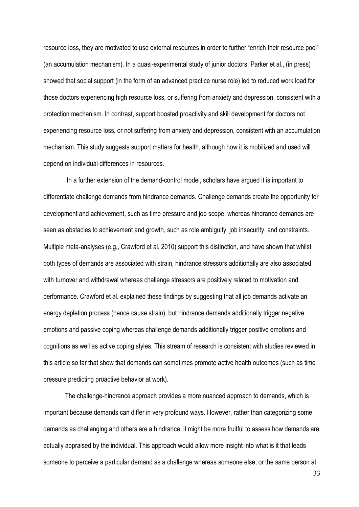resource loss, they are motivated to use external resources in order to further "enrich their resource pool" (an accumulation mechanism). In a quasi-experimental study of junior doctors, Parker et al., (in press) showed that social support (in the form of an advanced practice nurse role) led to reduced work load for those doctors experiencing high resource loss, or suffering from anxiety and depression, consistent with a protection mechanism. In contrast, support boosted proactivity and skill development for doctors not experiencing resource loss, or not suffering from anxiety and depression, consistent with an accumulation mechanism. This study suggests support matters for health, although how it is mobilized and used will depend on individual differences in resources.

In a further extension of the demand-control model, scholars have argued it is important to differentiate challenge demands from hindrance demands. Challenge demands create the opportunity for development and achievement, such as time pressure and job scope, whereas hindrance demands are seen as obstacles to achievement and growth, such as role ambiguity, job insecurity, and constraints. Multiple meta-analyses (e.g., Crawford et al. 2010) support this distinction, and have shown that whilst both types of demands are associated with strain, hindrance stressors additionally are also associated with turnover and withdrawal whereas challenge stressors are positively related to motivation and performance. Crawford et al. explained these findings by suggesting that all job demands activate an energy depletion process (hence cause strain), but hindrance demands additionally trigger negative emotions and passive coping whereas challenge demands additionally trigger positive emotions and cognitions as well as active coping styles. This stream of research is consistent with studies reviewed in this article so far that show that demands can sometimes promote active health outcomes (such as time pressure predicting proactive behavior at work).

The challenge-hindrance approach provides a more nuanced approach to demands, which is important because demands can differ in very profound ways. However, rather than categorizing some demands as challenging and others are a hindrance, it might be more fruitful to assess how demands are actually appraised by the individual. This approach would allow more insight into what is it that leads someone to perceive a particular demand as a challenge whereas someone else, or the same person at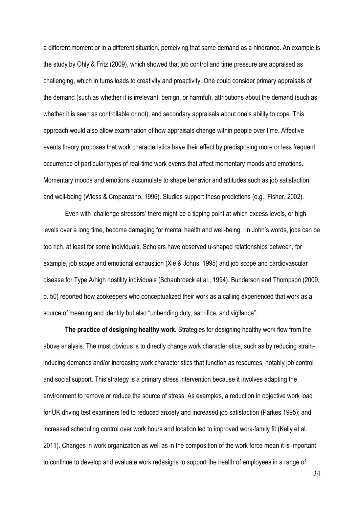a different moment or in a different situation, perceiving that same demand as a hindrance. An example is the study by Ohly & Fritz (2009), which showed that job control and time pressure are appraised as challenging, which in turns leads to creativity and proactivity. One could consider primary appraisals of the demand (such as whether it is irrelevant, benign, or harmful), attributions about the demand (such as whether it is seen as controllable or not), and secondary appraisals about one's ability to cope. This approach would also allow examination of how appraisals change within people over time. Affective events theory proposes that work characteristics have their effect by predisposing more or less frequent occurrence of particular types of real-time work events that affect momentary moods and emotions. Momentary moods and emotions accumulate to shape behavior and attitudes such as job satisfaction and well-being (Wiess & Cropanzano, 1996). Studies support these predictions (e.g., Fisher, 2002).

Even with 'challenge stressors' there might be a tipping point at which excess levels, or high levels over a long time, become damaging for mental health and well-being. In John's words, jobs can be too rich, at least for some individuals. Scholars have observed u-shaped relationships between, for example, job scope and emotional exhaustion (Xie & Johns, 1995) and job scope and cardiovascular disease for Type A/high hostility individuals (Schaubroeck et al., 1994). Bunderson and Thompson (2009, p. 50) reported how zookeepers who conceptualized their work as a calling experienced that work as a source of meaning and identity but also "unbending duty, sacrifice, and vigilance".

**The practice of designing healthy work.** Strategies for designing healthy work flow from the above analysis. The most obvious is to directly change work characteristics, such as by reducing straininducing demands and/or increasing work characteristics that function as resources, notably job control and social support. This strategy is a primary stress intervention because it involves adapting the environment to remove or reduce the source of stress. As examples, a reduction in objective work load for UK driving test examiners led to reduced anxiety and increased job satisfaction (Parkes 1995); and increased scheduling control over work hours and location led to improved work-family fit (Kelly et al. 2011). Changes in work organization as well as in the composition of the work force mean it is important to continue to develop and evaluate work redesigns to support the health of employees in a range of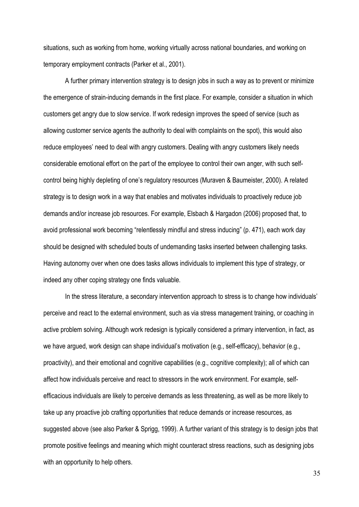situations, such as working from home, working virtually across national boundaries, and working on temporary employment contracts (Parker et al., 2001).

A further primary intervention strategy is to design jobs in such a way as to prevent or minimize the emergence of strain-inducing demands in the first place. For example, consider a situation in which customers get angry due to slow service. If work redesign improves the speed of service (such as allowing customer service agents the authority to deal with complaints on the spot), this would also reduce employees' need to deal with angry customers. Dealing with angry customers likely needs considerable emotional effort on the part of the employee to control their own anger, with such selfcontrol being highly depleting of one's regulatory resources (Muraven & Baumeister, 2000). A related strategy is to design work in a way that enables and motivates individuals to proactively reduce job demands and/or increase job resources. For example, Elsbach & Hargadon (2006) proposed that, to avoid professional work becoming "relentlessly mindful and stress inducing" (p. 471), each work day should be designed with scheduled bouts of undemanding tasks inserted between challenging tasks. Having autonomy over when one does tasks allows individuals to implement this type of strategy, or indeed any other coping strategy one finds valuable.

In the stress literature, a secondary intervention approach to stress is to change how individuals' perceive and react to the external environment, such as via stress management training, or coaching in active problem solving. Although work redesign is typically considered a primary intervention, in fact, as we have argued, work design can shape individual's motivation (e.g., self-efficacy), behavior (e.g., proactivity), and their emotional and cognitive capabilities (e.g., cognitive complexity); all of which can affect how individuals perceive and react to stressors in the work environment. For example, selfefficacious individuals are likely to perceive demands as less threatening, as well as be more likely to take up any proactive job crafting opportunities that reduce demands or increase resources, as suggested above (see also Parker & Sprigg, 1999). A further variant of this strategy is to design jobs that promote positive feelings and meaning which might counteract stress reactions, such as designing jobs with an opportunity to help others.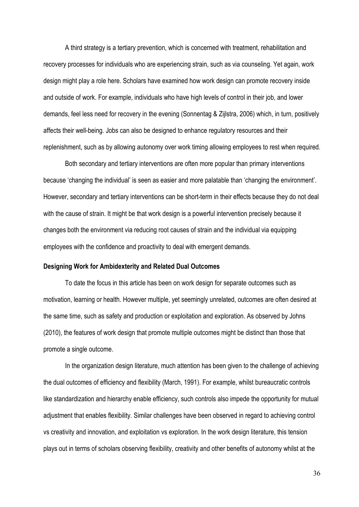A third strategy is a tertiary prevention, which is concerned with treatment, rehabilitation and recovery processes for individuals who are experiencing strain, such as via counseling. Yet again, work design might play a role here. Scholars have examined how work design can promote recovery inside and outside of work. For example, individuals who have high levels of control in their job, and lower demands, feel less need for recovery in the evening (Sonnentag & Zijlstra, 2006) which, in turn, positively affects their well-being. Jobs can also be designed to enhance regulatory resources and their replenishment, such as by allowing autonomy over work timing allowing employees to rest when required.

Both secondary and tertiary interventions are often more popular than primary interventions because 'changing the individual' is seen as easier and more palatable than 'changing the environment'. However, secondary and tertiary interventions can be short-term in their effects because they do not deal with the cause of strain. It might be that work design is a powerful intervention precisely because it changes both the environment via reducing root causes of strain and the individual via equipping employees with the confidence and proactivity to deal with emergent demands.

#### <span id="page-39-0"></span>**Designing Work for Ambidexterity and Related Dual Outcomes**

To date the focus in this article has been on work design for separate outcomes such as motivation, learning or health. However multiple, yet seemingly unrelated, outcomes are often desired at the same time, such as safety and production or exploitation and exploration. As observed by Johns (2010), the features of work design that promote multiple outcomes might be distinct than those that promote a single outcome.

In the organization design literature, much attention has been given to the challenge of achieving the dual outcomes of efficiency and flexibility (March, 1991). For example, whilst bureaucratic controls like standardization and hierarchy enable efficiency, such controls also impede the opportunity for mutual adjustment that enables flexibility. Similar challenges have been observed in regard to achieving control vs creativity and innovation, and exploitation vs exploration. In the work design literature, this tension plays out in terms of scholars observing flexibility, creativity and other benefits of autonomy whilst at the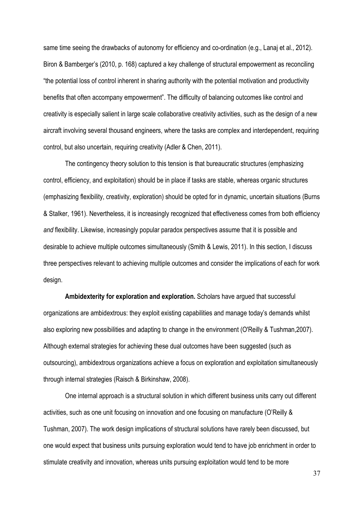same time seeing the drawbacks of autonomy for efficiency and co-ordination (e.g., Lanaj et al., 2012). Biron & Bamberger's (2010, p. 168) captured a key challenge of structural empowerment as reconciling "the potential loss of control inherent in sharing authority with the potential motivation and productivity benefits that often accompany empowerment". The difficulty of balancing outcomes like control and creativity is especially salient in large scale collaborative creativity activities, such as the design of a new aircraft involving several thousand engineers, where the tasks are complex and interdependent, requiring control, but also uncertain, requiring creativity (Adler & Chen, 2011).

The contingency theory solution to this tension is that bureaucratic structures (emphasizing control, efficiency, and exploitation) should be in place if tasks are stable, whereas organic structures (emphasizing flexibility, creativity, exploration) should be opted for in dynamic, uncertain situations (Burns & Stalker, 1961). Nevertheless, it is increasingly recognized that effectiveness comes from both efficiency *and* flexibility. Likewise, increasingly popular paradox perspectives assume that it is possible and desirable to achieve multiple outcomes simultaneously (Smith & Lewis, 2011). In this section, I discuss three perspectives relevant to achieving multiple outcomes and consider the implications of each for work design.

**Ambidexterity for exploration and exploration.** Scholars have argued that successful organizations are ambidextrous: they exploit existing capabilities and manage today's demands whilst also exploring new possibilities and adapting to change in the environment (O'Reilly & Tushman,2007). Although external strategies for achieving these dual outcomes have been suggested (such as outsourcing), ambidextrous organizations achieve a focus on exploration and exploitation simultaneously through internal strategies (Raisch & Birkinshaw, 2008).

One internal approach is a structural solution in which different business units carry out different activities, such as one unit focusing on innovation and one focusing on manufacture (O'Reilly & Tushman, 2007). The work design implications of structural solutions have rarely been discussed, but one would expect that business units pursuing exploration would tend to have job enrichment in order to stimulate creativity and innovation, whereas units pursuing exploitation would tend to be more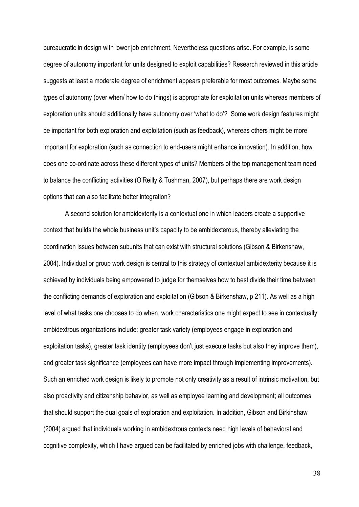bureaucratic in design with lower job enrichment. Nevertheless questions arise. For example, is some degree of autonomy important for units designed to exploit capabilities? Research reviewed in this article suggests at least a moderate degree of enrichment appears preferable for most outcomes. Maybe some types of autonomy (over when/ how to do things) is appropriate for exploitation units whereas members of exploration units should additionally have autonomy over 'what to do'? Some work design features might be important for both exploration and exploitation (such as feedback), whereas others might be more important for exploration (such as connection to end-users might enhance innovation). In addition, how does one co-ordinate across these different types of units? Members of the top management team need to balance the conflicting activities (O'Reilly & Tushman, 2007), but perhaps there are work design options that can also facilitate better integration?

A second solution for ambidexterity is a contextual one in which leaders create a supportive context that builds the whole business unit's capacity to be ambidexterous, thereby alleviating the coordination issues between subunits that can exist with structural solutions (Gibson & Birkenshaw, 2004). Individual or group work design is central to this strategy of contextual ambidexterity because it is achieved by individuals being empowered to judge for themselves how to best divide their time between the conflicting demands of exploration and exploitation (Gibson & Birkenshaw, p 211). As well as a high level of what tasks one chooses to do when, work characteristics one might expect to see in contextually ambidextrous organizations include: greater task variety (employees engage in exploration and exploitation tasks), greater task identity (employees don't just execute tasks but also they improve them), and greater task significance (employees can have more impact through implementing improvements). Such an enriched work design is likely to promote not only creativity as a result of intrinsic motivation, but also proactivity and citizenship behavior, as well as employee learning and development; all outcomes that should support the dual goals of exploration and exploitation. In addition, Gibson and Birkinshaw (2004) argued that individuals working in ambidextrous contexts need high levels of behavioral and cognitive complexity, which I have argued can be facilitated by enriched jobs with challenge, feedback,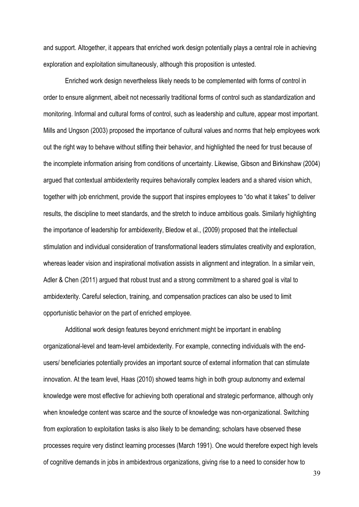and support. Altogether, it appears that enriched work design potentially plays a central role in achieving exploration and exploitation simultaneously, although this proposition is untested.

Enriched work design nevertheless likely needs to be complemented with forms of control in order to ensure alignment, albeit not necessarily traditional forms of control such as standardization and monitoring. Informal and cultural forms of control, such as leadership and culture, appear most important. Mills and Ungson (2003) proposed the importance of cultural values and norms that help employees work out the right way to behave without stifling their behavior, and highlighted the need for trust because of the incomplete information arising from conditions of uncertainty. Likewise, Gibson and Birkinshaw (2004) argued that contextual ambidexterity requires behaviorally complex leaders and a shared vision which, together with job enrichment, provide the support that inspires employees to "do what it takes" to deliver results, the discipline to meet standards, and the stretch to induce ambitious goals. Similarly highlighting the importance of leadership for ambidexerity, Bledow et al., (2009) proposed that the intellectual stimulation and individual consideration of transformational leaders stimulates creativity and exploration, whereas leader vision and inspirational motivation assists in alignment and integration. In a similar vein, Adler & Chen (2011) argued that robust trust and a strong commitment to a shared goal is vital to ambidexterity. Careful selection, training, and compensation practices can also be used to limit opportunistic behavior on the part of enriched employee.

Additional work design features beyond enrichment might be important in enabling organizational-level and team-level ambidexterity. For example, connecting individuals with the endusers/ beneficiaries potentially provides an important source of external information that can stimulate innovation. At the team level, Haas (2010) showed teams high in both group autonomy and external knowledge were most effective for achieving both operational and strategic performance, although only when knowledge content was scarce and the source of knowledge was non-organizational. Switching from exploration to exploitation tasks is also likely to be demanding; scholars have observed these processes require very distinct learning processes (March 1991). One would therefore expect high levels of cognitive demands in jobs in ambidextrous organizations, giving rise to a need to consider how to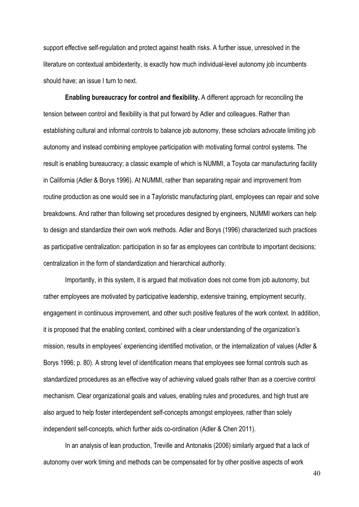support effective self-regulation and protect against health risks. A further issue, unresolved in the literature on contextual ambidexterity, is exactly how much individual-level autonomy job incumbents should have; an issue I turn to next.

**Enabling bureaucracy for control and flexibility.** A different approach for reconciling the tension between control and flexibility is that put forward by Adler and colleagues. Rather than establishing cultural and informal controls to balance job autonomy, these scholars advocate limiting job autonomy and instead combining employee participation with motivating formal control systems. The result is enabling bureaucracy; a classic example of which is NUMMI, a Toyota car manufacturing facility in California (Adler & Borys 1996). At NUMMI, rather than separating repair and improvement from routine production as one would see in a Tayloristic manufacturing plant, employees can repair and solve breakdowns. And rather than following set procedures designed by engineers, NUMMI workers can help to design and standardize their own work methods. Adler and Borys (1996) characterized such practices as participative centralization: participation in so far as employees can contribute to important decisions; centralization in the form of standardization and hierarchical authority.

Importantly, in this system, it is argued that motivation does not come from job autonomy, but rather employees are motivated by participative leadership, extensive training, employment security, engagement in continuous improvement, and other such positive features of the work context. In addition, it is proposed that the enabling context, combined with a clear understanding of the organization's mission, results in employees' experiencing identified motivation, or the internalization of values (Adler & Borys 1996; p. 80). A strong level of identification means that employees see formal controls such as standardized procedures as an effective way of achieving valued goals rather than as a coercive control mechanism. Clear organizational goals and values, enabling rules and procedures, and high trust are also argued to help foster interdependent self-concepts amongst employees, rather than solely independent self-concepts, which further aids co-ordination (Adler & Chen 2011).

In an analysis of lean production, Treville and Antonakis (2006) similarly argued that a lack of autonomy over work timing and methods can be compensated for by other positive aspects of work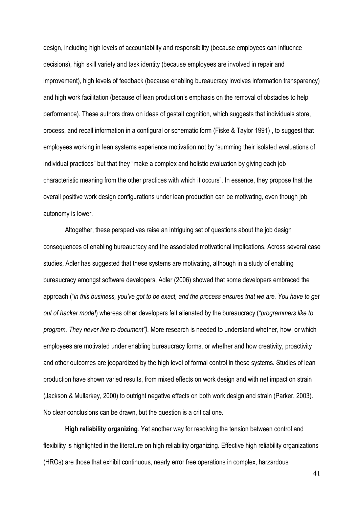design, including high levels of accountability and responsibility (because employees can influence decisions), high skill variety and task identity (because employees are involved in repair and improvement), high levels of feedback (because enabling bureaucracy involves information transparency) and high work facilitation (because of lean production's emphasis on the removal of obstacles to help performance). These authors draw on ideas of gestalt cognition, which suggests that individuals store, process, and recall information in a configural or schematic form (Fiske & [Taylor](http://www.sciencedirect.com/science/article/pii/S0272696305000926#bib56) 1991) , to suggest that employees working in lean systems experience motivation not by "summing their isolated evaluations of individual practices" but that they "make a complex and holistic evaluation by giving each job characteristic meaning from the other practices with which it occurs". In essence, they propose that the overall positive work design configurations under lean production can be motivating, even though job autonomy is lower.

Altogether, these perspectives raise an intriguing set of questions about the job design consequences of enabling bureaucracy and the associated motivational implications. Across several case studies, Adler has suggested that these systems are motivating, although in a study of enabling bureaucracy amongst software developers, Adler (2006) showed that some developers embraced the approach ("*in this business, you've got to be exact, and the process ensures that we are. You have to get out of hacker mode!*) whereas other developers felt alienated by the bureaucracy (*"programmers like to program. They never like to document").* More research is needed to understand whether, how, or which employees are motivated under enabling bureaucracy forms, or whether and how creativity, proactivity and other outcomes are jeopardized by the high level of formal control in these systems. Studies of lean production have shown varied results, from mixed effects on work design and with net impact on strain (Jackson & Mullarkey, 2000) to outright negative effects on both work design and strain (Parker, 2003). No clear conclusions can be drawn, but the question is a critical one.

**High reliability organizing**. Yet another way for resolving the tension between control and flexibility is highlighted in the literature on high reliability organizing. Effective high reliability organizations (HROs) are those that exhibit continuous, nearly error free operations in complex, harzardous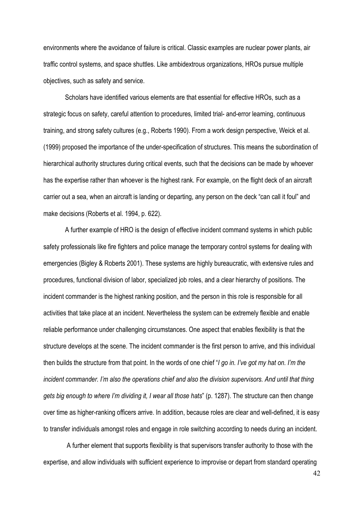environments where the avoidance of failure is critical. Classic examples are nuclear power plants, air traffic control systems, and space shuttles. Like ambidextrous organizations, HROs pursue multiple objectives, such as safety and service.

Scholars have identified various elements are that essential for effective HROs, such as a strategic focus on safety, careful attention to procedures, limited trial- and-error learning, continuous training, and strong safety cultures (e.g., Roberts 1990). From a work design perspective, Weick et al. (1999) proposed the importance of the under-specification of structures. This means the subordination of hierarchical authority structures during critical events, such that the decisions can be made by whoever has the expertise rather than whoever is the highest rank. For example, on the flight deck of an aircraft carrier out a sea, when an aircraft is landing or departing, any person on the deck "can call it foul" and make decisions (Roberts et al. 1994, p. 622).

A further example of HRO is the design of effective incident command systems in which public safety professionals like fire fighters and police manage the temporary control systems for dealing with emergencies (Bigley & Roberts 2001). These systems are highly bureaucratic, with extensive rules and procedures, functional division of labor, specialized job roles, and a clear hierarchy of positions. The incident commander is the highest ranking position, and the person in this role is responsible for all activities that take place at an incident. Nevertheless the system can be extremely flexible and enable reliable performance under challenging circumstances. One aspect that enables flexibility is that the structure develops at the scene. The incident commander is the first person to arrive, and this individual then builds the structure from that point. In the words of one chief "*I go in. I've got my hat on. I'm the incident commander. I'm also the operations chief and also the division supervisors. And until that thing gets big enough to where I'm dividing it, I wear all those hats*" (p. 1287). The structure can then change over time as higher-ranking officers arrive. In addition, because roles are clear and well-defined, it is easy to transfer individuals amongst roles and engage in role switching according to needs during an incident.

A further element that supports flexibility is that supervisors transfer authority to those with the expertise, and allow individuals with sufficient experience to improvise or depart from standard operating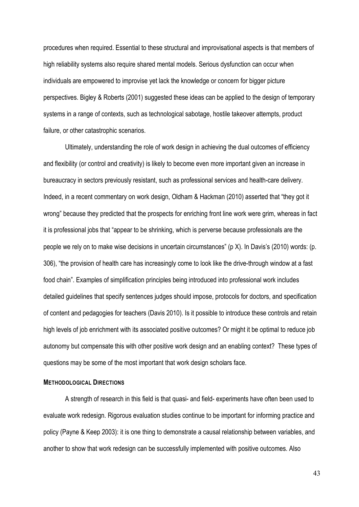procedures when required. Essential to these structural and improvisational aspects is that members of high reliability systems also require shared mental models. Serious dysfunction can occur when individuals are empowered to improvise yet lack the knowledge or concern for bigger picture perspectives. Bigley & Roberts (2001) suggested these ideas can be applied to the design of temporary systems in a range of contexts, such as technological sabotage, hostile takeover attempts, product failure, or other catastrophic scenarios.

Ultimately, understanding the role of work design in achieving the dual outcomes of efficiency and flexibility (or control and creativity) is likely to become even more important given an increase in bureaucracy in sectors previously resistant, such as professional services and health-care delivery. Indeed, in a recent commentary on work design, Oldham & Hackman (2010) asserted that "they got it wrong" because they predicted that the prospects for enriching front line work were grim, whereas in fact it is professional jobs that "appear to be shrinking, which is perverse because professionals are the people we rely on to make wise decisions in uncertain circumstances" (p X). In Davis's (2010) words: (p. 306), "the provision of health care has increasingly come to look like the drive-through window at a fast food chain". Examples of simplification principles being introduced into professional work includes detailed guidelines that specify sentences judges should impose, protocols for doctors, and specification of content and pedagogies for teachers (Davis 2010). Is it possible to introduce these controls and retain high levels of job enrichment with its associated positive outcomes? Or might it be optimal to reduce job autonomy but compensate this with other positive work design and an enabling context? These types of questions may be some of the most important that work design scholars face.

#### <span id="page-46-0"></span>**METHODOLOGICAL DIRECTIONS**

A strength of research in this field is that quasi- and field- experiments have often been used to evaluate work redesign. Rigorous evaluation studies continue to be important for informing practice and policy (Payne & Keep 2003): it is one thing to demonstrate a causal relationship between variables, and another to show that work redesign can be successfully implemented with positive outcomes. Also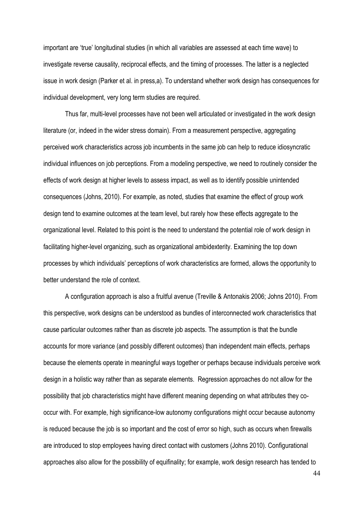important are 'true' longitudinal studies (in which all variables are assessed at each time wave) to investigate reverse causality, reciprocal effects, and the timing of processes. The latter is a neglected issue in work design (Parker et al. in press,a). To understand whether work design has consequences for individual development, very long term studies are required.

Thus far, multi-level processes have not been well articulated or investigated in the work design literature (or, indeed in the wider stress domain). From a measurement perspective, aggregating perceived work characteristics across job incumbents in the same job can help to reduce idiosyncratic individual influences on job perceptions. From a modeling perspective, we need to routinely consider the effects of work design at higher levels to assess impact, as well as to identify possible unintended consequences (Johns, 2010). For example, as noted, studies that examine the effect of group work design tend to examine outcomes at the team level, but rarely how these effects aggregate to the organizational level. Related to this point is the need to understand the potential role of work design in facilitating higher-level organizing, such as organizational ambidexterity. Examining the top down processes by which individuals' perceptions of work characteristics are formed, allows the opportunity to better understand the role of context.

A configuration approach is also a fruitful avenue (Treville & Antonakis 2006; Johns 2010). From this perspective, work designs can be understood as bundles of interconnected work characteristics that cause particular outcomes rather than as discrete job aspects. The assumption is that the bundle accounts for more variance (and possibly different outcomes) than independent main effects, perhaps because the elements operate in meaningful ways together or perhaps because individuals perceive work design in a holistic way rather than as separate elements. Regression approaches do not allow for the possibility that job characteristics might have different meaning depending on what attributes they cooccur with. For example, high significance-low autonomy configurations might occur because autonomy is reduced because the job is so important and the cost of error so high, such as occurs when firewalls are introduced to stop employees having direct contact with customers (Johns 2010). Configurational approaches also allow for the possibility of equifinality; for example, work design research has tended to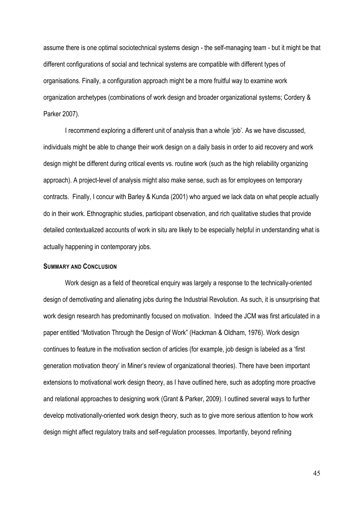assume there is one optimal sociotechnical systems design - the self-managing team - but it might be that different configurations of social and technical systems are compatible with different types of organisations. Finally, a configuration approach might be a more fruitful way to examine work organization archetypes (combinations of work design and broader organizational systems; Cordery & Parker 2007).

I recommend exploring a different unit of analysis than a whole 'job'. As we have discussed, individuals might be able to change their work design on a daily basis in order to aid recovery and work design might be different during critical events vs. routine work (such as the high reliability organizing approach). A project-level of analysis might also make sense, such as for employees on temporary contracts. Finally, I concur with Barley & Kunda (2001) who argued we lack data on what people actually do in their work. Ethnographic studies, participant observation, and rich qualitative studies that provide detailed contextualized accounts of work in situ are likely to be especially helpful in understanding what is actually happening in contemporary jobs.

#### <span id="page-48-0"></span>**SUMMARY AND CONCLUSION**

Work design as a field of theoretical enquiry was largely a response to the technically-oriented design of demotivating and alienating jobs during the Industrial Revolution. As such, it is unsurprising that work design research has predominantly focused on motivation. Indeed the JCM was first articulated in a paper entitled "Motivation Through the Design of Work" (Hackman & Oldham, 1976). Work design continues to feature in the motivation section of articles (for example, job design is labeled as a 'first generation motivation theory' in Miner's review of organizational theories). There have been important extensions to motivational work design theory, as I have outlined here, such as adopting more proactive and relational approaches to designing work (Grant & Parker, 2009). I outlined several ways to further develop motivationally-oriented work design theory, such as to give more serious attention to how work design might affect regulatory traits and self-regulation processes. Importantly, beyond refining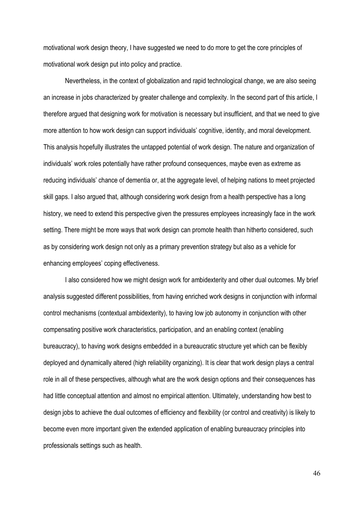motivational work design theory, I have suggested we need to do more to get the core principles of motivational work design put into policy and practice.

Nevertheless, in the context of globalization and rapid technological change, we are also seeing an increase in jobs characterized by greater challenge and complexity. In the second part of this article, I therefore argued that designing work for motivation is necessary but insufficient, and that we need to give more attention to how work design can support individuals' cognitive, identity, and moral development. This analysis hopefully illustrates the untapped potential of work design. The nature and organization of individuals' work roles potentially have rather profound consequences, maybe even as extreme as reducing individuals' chance of dementia or, at the aggregate level, of helping nations to meet projected skill gaps. I also argued that, although considering work design from a health perspective has a long history, we need to extend this perspective given the pressures employees increasingly face in the work setting. There might be more ways that work design can promote health than hitherto considered, such as by considering work design not only as a primary prevention strategy but also as a vehicle for enhancing employees' coping effectiveness.

I also considered how we might design work for ambidexterity and other dual outcomes. My brief analysis suggested different possibilities, from having enriched work designs in conjunction with informal control mechanisms (contextual ambidexterity), to having low job autonomy in conjunction with other compensating positive work characteristics, participation, and an enabling context (enabling bureaucracy), to having work designs embedded in a bureaucratic structure yet which can be flexibly deployed and dynamically altered (high reliability organizing). It is clear that work design plays a central role in all of these perspectives, although what are the work design options and their consequences has had little conceptual attention and almost no empirical attention. Ultimately, understanding how best to design jobs to achieve the dual outcomes of efficiency and flexibility (or control and creativity) is likely to become even more important given the extended application of enabling bureaucracy principles into professionals settings such as health.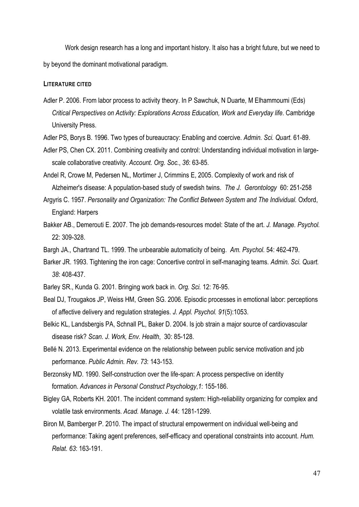Work design research has a long and important history. It also has a bright future, but we need to by beyond the dominant motivational paradigm.

### <span id="page-50-0"></span>**LITERATURE CITED**

- Adler P. 2006. From labor process to activity theory. In P Sawchuk, N Duarte, M Elhammoumi (Eds) *Critical Perspectives on Activity: Explorations Across Education, Work and Everyday life*. Cambridge University Press.
- Adler PS, Borys B. 1996. Two types of bureaucracy: Enabling and coercive. *Admin. Sci. Quart.* 61-89.
- Adler PS, Chen CX. 2011. Combining creativity and control: Understanding individual motivation in largescale collaborative creativity. *Account. Org. Soc.*, *36*: 63-85.
- Andel R, Crowe M, Pedersen NL, Mortimer J, Crimmins E, 2005. Complexity of work and risk of Alzheimer's disease: A population-based study of swedish twins. *The J. Gerontology* 60: 251-258
- Argyris C. 1957. *Personality and Organization: The Conflict Between System and The Individual.* Oxford, England: Harpers
- Bakker AB., Demerouti E. 2007. The job demands-resources model: State of the art. *J. Manage. Psychol.*  22: 309-328.
- Bargh JA., Chartrand TL. 1999. The unbearable automaticity of being. *Am. Psychol.* 54: 462-479.
- Barker JR. 1993. Tightening the iron cage: Concertive control in self-managing teams. *Admin. Sci. Quart. 38*: 408-437.
- Barley SR., Kunda G. 2001. Bringing work back in. *Org. Sci.* 12: 76-95.
- Beal DJ, Trougakos JP, Weiss HM, Green SG. 2006. Episodic processes in emotional labor: perceptions of affective delivery and regulation strategies. *J. Appl. Psychol. 91*(5):1053.
- Belkic KL, Landsbergis PA, Schnall PL, Baker D. 2004. Is job strain a major source of cardiovascular disease risk? *Scan. J. Work, Env. Health*, 30: 85-128.
- Bellé N. 2013. Experimental evidence on the relationship between public service motivation and job performance. *Public Admin. Rev. 73*: 143-153.
- Berzonsky MD. 1990. Self-construction over the life-span: A process perspective on identity formation. *Advances in Personal Construct Psychology*,*1*: 155-186.
- Bigley GA, Roberts KH. 2001. The incident command system: High-reliability organizing for complex and volatile task environments. *Acad. Manage. J.* 44: 1281-1299.
- Biron M, Bamberger P. 2010. The impact of structural empowerment on individual well-being and performance: Taking agent preferences, self-efficacy and operational constraints into account. *Hum. Relat. 63*: 163-191.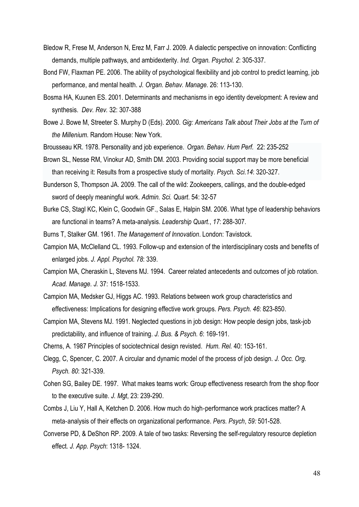- Bledow R, Frese M, Anderson N, Erez M, Farr J. 2009. A dialectic perspective on innovation: Conflicting demands, multiple pathways, and ambidexterity. *Ind. Organ. Psychol. 2*: 305-337.
- Bond FW, Flaxman PE. 2006. The ability of psychological flexibility and job control to predict learning, job performance, and mental health. *J. Organ. Behav. Manage.* 26: 113-130.
- Bosma HA, Kuunen ES. 2001. Determinants and mechanisms in ego identity development: A review and synthesis. *Dev. Rev.* 32: 307-388
- Bowe J. Bowe M, Streeter S. Murphy D (Eds). 2000. *Gig: Americans Talk about Their Jobs at the Turn of the Millenium*. Random House: New York.
- Brousseau KR. 1978. Personality and job experience. *Organ. [Behav.](http://www.sciencedirect.com/science/journal/00305073) Hum Perf.* 22: 235-252
- Brown SL, Nesse RM, Vinokur AD, Smith DM. 2003. Providing social support may be more beneficial than receiving it: Results from a prospective study of mortality. *Psych. Sci.14*: 320-327.
- Bunderson S, Thompson JA. 2009. The call of the wild: Zookeepers, callings, and the double-edged sword of deeply meaningful work. *Admin. Sci. Quart*. 54: 32-57
- Burke CS, Stagl KC, Klein C, Goodwin GF., Salas E, Halpin SM. 2006. What type of leadership behaviors are functional in teams? A meta-analysis. *Leadership Quart.*, *17*: 288-307.
- Burns T, Stalker GM. 1961. *The Management of Innovation*. London: Tavistock.
- Campion MA, McClelland CL. 1993. Follow-up and extension of the interdisciplinary costs and benefits of enlarged jobs. *J. Appl. Psychol. 78*: 339.
- Campion MA, Cheraskin L, Stevens MJ. 1994. Career related antecedents and outcomes of job rotation. *Acad. Manage. J.* 37: 1518-1533.
- Campion MA, Medsker GJ, Higgs AC. 1993. Relations between work group characteristics and effectiveness: Implications for designing effective work groups. *Pers. Psych. 46*: 823-850.
- Campion MA, Stevens MJ. 1991. Neglected questions in job design: How people design jobs, task-job predictability, and influence of training. *J. Bus. & Psych. 6*: 169-191.
- Cherns, A. 1987 Principles of sociotechnical design revisted. *Hum. Rel.* 40: 153-161.
- Clegg, C, Spencer, C. 2007. A circular and dynamic model of the process of job design. *J. Occ. Org. Psych. 80*: 321-339.
- Cohen SG, Bailey DE. 1997. What makes teams work: Group effectiveness research from the shop floor to the executive suite. *J. Mgt*, 23: 239-290.
- Combs J, Liu Y, Hall A, Ketchen D. 2006. How much do high‐performance work practices matter? A meta‐analysis of their effects on organizational performance. *Pers. Psych*, *59:* 501-528.
- Converse PD, & DeShon RP. 2009. A tale of two tasks: Reversing the self-regulatory resource depletion effect. *J. App. Psych*: 1318- 1324.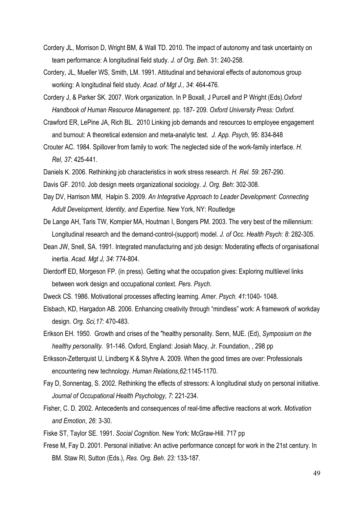- Cordery JL, Morrison D, Wright BM, & Wall TD. 2010. The impact of autonomy and task uncertainty on team performance: A longitudinal field study. *J. of Org. Beh.* 31: 240-258.
- Cordery, JL, Mueller WS, Smith, LM. 1991. Attitudinal and behavioral effects of autonomous group working: A longitudinal field study. *Acad. of Mgt J., 34*: 464-476.
- Cordery J, & Parker SK. 2007. Work organization. In P Boxall, J Purcell and P Wright (Eds).*Oxford Handbook of Human Resource Management.* pp. 187- 209. *Oxford University Press: Oxford.*
- Crawford ER, LePine JA, Rich BL. 2010 Linking job demands and resources to employee engagement and burnout: A theoretical extension and meta-analytic test. *J. App. Psych*, 95: 834-848
- Crouter AC. 1984. Spillover from family to work: The neglected side of the work-family interface. *H. Rel, 37*: 425-441.
- Daniels K. 2006. Rethinking job characteristics in work stress research. *H. Rel. 59*: 267-290.
- Davis GF. 2010. Job design meets organizational sociology. *J. Org. Beh*: 302-308.
- Day DV, Harrison MM, Halpin S. 2009. *An Integrative Approach to Leader Development: Connecting Adult Development, Identity, and Expertise*. New York, NY: Routledge
- De Lange AH, Taris TW, Kompier MA, Houtman I, Bongers PM. 2003. The very best of the millennium: Longitudinal research and the demand-control-(support) model. *J. of Occ. Health Psych: 8*: 282-305.
- Dean JW, Snell, SA. 1991. Integrated manufacturing and job design: Moderating effects of organisational inertia. *Acad. Mgt J, 34*: 774-804.
- Dierdorff ED, Morgeson FP. (in press). Getting what the occupation gives: Exploring multilevel links between work design and occupational context. *Pers. Psych*.
- Dweck CS. 1986. Motivational processes affecting learning. *Amer. Psych. 41*:1040- 1048.
- Elsbach, KD, Hargadon AB. 2006. Enhancing creativity through "mindless" work: A framework of workday design. *Org. Sci,17:* 470-483.
- Erikson EH. 1950. Growth and crises of the "healthy personality. Senn, MJE. (Ed), *Symposium on the healthy personality*. 91-146. Oxford, England: Josiah Macy, Jr. Foundation, , 298 pp
- Eriksson-Zetterquist U, Lindberg K & Styhre A. 2009. When the good times are over: Professionals encountering new technology. *Human Relations*,*62*:1145-1170.
- Fay D, Sonnentag, S. 2002. Rethinking the effects of stressors: A longitudinal study on personal initiative. *Journal of Occupational Health Psychology, 7*: 221-234.
- Fisher, C. D. 2002. Antecedents and consequences of real-time affective reactions at work. *Motivation and Emotion*, *26*: 3-30.
- Fiske ST, Taylor SE. 1991. *Social Cognition*. New York: McGraw-Hill. 717 pp
- Frese M, Fay D. 2001. Personal initiative: An active performance concept for work in the 21st century. In BM. Staw RI, Sutton (Eds.), *Res. Org. Beh. 23:* 133-187.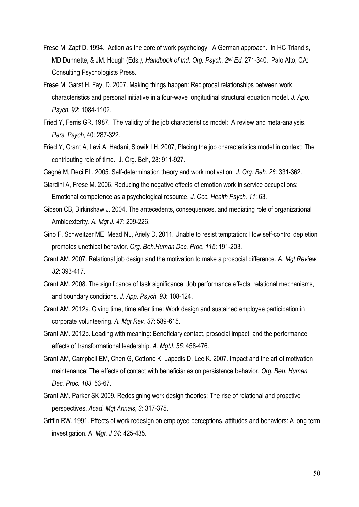- Frese M, Zapf D. 1994. Action as the core of work psychology: A German approach. In HC Triandis, MD Dunnette, & JM. Hough (Eds*.), Handbook of Ind. Org. Psych, 2nd Ed.* 271-340. Palo Alto, CA: Consulting Psychologists Press.
- Frese M, Garst H, Fay, D. 2007. Making things happen: Reciprocal relationships between work characteristics and personal initiative in a four-wave longitudinal structural equation model. *J. App. Psych, 92*: 1084-1102.
- Fried Y, Ferris GR. 1987. The validity of the job characteristics model: A review and meta-analysis. *Pers. Psych*, 40: 287-322.
- Fried Y, Grant A, Levi A, Hadani, Slowik LH. 2007, Placing the job characteristics model in context: The contributing role of time. J. Org. Beh, 28: 911-927.

Gagné M, Deci EL. 2005. Self-determination theory and work motivation. *J. Org. Beh. 26*: 331-362.

- Giardini A, Frese M. 2006. Reducing the negative effects of emotion work in service occupations: Emotional competence as a psychological resource. *J. Occ. Health Psych. 11*: 63.
- Gibson CB, Birkinshaw J. 2004. The antecedents, consequences, and mediating role of organizational Ambidexterity. *A. Mgt J. 47*: 209-226.
- Gino F, Schweitzer ME, Mead NL, Ariely D. 2011. Unable to resist temptation: How self-control depletion promotes unethical behavior. *Org. Beh.Human Dec. Proc*, *115*: 191-203.
- Grant AM. 2007. Relational job design and the motivation to make a prosocial difference. *A. Mgt Review, 32*: 393-417.
- Grant AM. 2008. The significance of task significance: Job performance effects, relational mechanisms, and boundary conditions. *J. App. Psych*. *93*: 108-124.
- Grant AM. 2012a. Giving time, time after time: Work design and sustained employee participation in corporate volunteering. *A. Mgt Rev. 37*: 589-615.
- Grant AM. 2012b. Leading with meaning: Beneficiary contact, prosocial impact, and the performance effects of transformational leadership. *A. MgtJ. 55*: 458-476.
- Grant AM, Campbell EM, Chen G, Cottone K, Lapedis D, Lee K. 2007. Impact and the art of motivation maintenance: The effects of contact with beneficiaries on persistence behavior. *Org. Beh. Human Dec. Proc. 103*: 53-67.
- Grant AM, Parker SK 2009. Redesigning work design theories: The rise of relational and proactive perspectives. *Acad. Mgt Annals*, *3*: 317-375.
- Griffin RW. 1991. Effects of work redesign on employee perceptions, attitudes and behaviors: A long term investigation. A. *Mgt. J 34*: 425-435.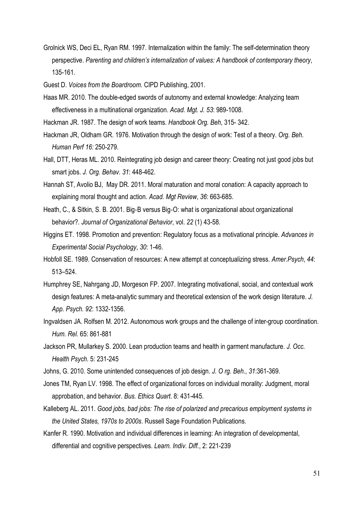Grolnick WS, Deci EL, Ryan RM. 1997. Internalization within the family: The self-determination theory perspective. *Parenting and children's internalization of values: A handbook of contemporary theory*, 135-161.

Guest D. *Voices from the Boardroom*. CIPD Publishing, 2001.

- Haas MR. 2010. The double-edged swords of autonomy and external knowledge: Analyzing team effectiveness in a multinational organization. *Acad. Mgt. J. 53*: 989-1008.
- Hackman JR. 1987. The design of work teams. *Handbook Org. Beh*, 315- 342.
- Hackman JR, Oldham GR. 1976. Motivation through the design of work: Test of a theory. *Org. Beh. Human Perf 16:* 250-279.
- Hall, DTT, Heras ML. 2010. Reintegrating job design and career theory: Creating not just good jobs but smart jobs. *J. Org. Behav. 31*: 448-462.
- Hannah ST, Avolio BJ, May DR. 2011. Moral maturation and moral conation: A capacity approach to explaining moral thought and action. *Acad. Mgt Review*, *36*: 663-685.
- Heath, C., & Sitkin, S. B. 2001. Big‐B versus Big‐O: what is organizational about organizational behavior?. *Journal of Organizational Behavior*, vol. *22* (1) 43-58.
- Higgins ET. 1998. Promotion and prevention: Regulatory focus as a motivational principle. *Advances in Experimental Social Psychology*, *30*: 1-46.
- Hobfoll SE. 1989. Conservation of resources: A new attempt at conceptualizing stress. *Amer.Psych*, *44*: 513–524.
- Humphrey SE, Nahrgang JD, Morgeson FP. 2007. Integrating motivational, social, and contextual work design features: A meta-analytic summary and theoretical extension of the work design literature. *J. App. Psych. 92*: 1332-1356.
- Ingvaldsen JA. Rolfsen M. 2012. Autonomous work groups and the challenge of inter-group coordination. *Hum. Rel.* 65: 861-881
- Jackson PR, Mullarkey S. 2000. Lean production teams and health in garment manufacture. *J. Occ. Health Psych*. 5: 231-245
- Johns, G. 2010. Some unintended consequences of job design. *J. O rg. Beh.*, *31*:361-369.
- Jones TM, Ryan LV. 1998. The effect of organizational forces on individual morality: Judgment, moral approbation, and behavior. *Bus. Ethics Quart*. 8: 431-445.
- Kalleberg AL. 2011. *Good jobs, bad jobs: The rise of polarized and precarious employment systems in the United States, 1970s to 2000s*. Russell Sage Foundation Publications.
- Kanfer R. 1990. Motivation and individual differences in learning: An integration of developmental, differential and cognitive perspectives. *Learn. Indiv. Diff.*, 2: 221-239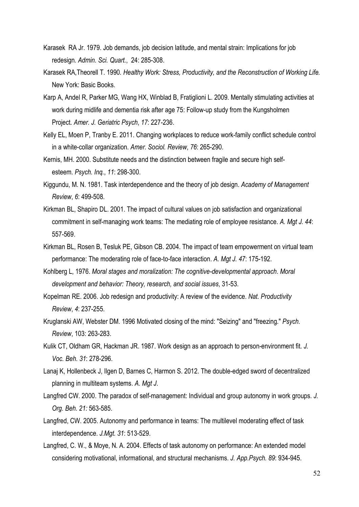- Karasek RA Jr. 1979. Job demands, job decision latitude, and mental strain: Implications for job redesign. *Admin. Sci. Quart.*, 24: 285-308.
- Karasek RA,Theorell T. 1990*. Healthy Work: Stress, Productivity, and the Reconstruction of Working Life.*  New York: Basic Books.
- Karp A, Andel R, Parker MG, Wang HX, Winblad B, Fratiglioni L. 2009. Mentally stimulating activities at work during midlife and dementia risk after age 75: Follow-up study from the Kungsholmen Project. *Amer. J. Geriatric Psych*, *17*: 227-236.
- Kelly EL, Moen P, Tranby E. 2011. Changing workplaces to reduce work-family conflict schedule control in a white-collar organization. *Amer. Sociol. Review*, *76*: 265-290.
- Kernis, MH. 2000. Substitute needs and the distinction between fragile and secure high selfesteem. *Psych. Inq.*, *11*: 298-300.
- Kiggundu, M. N. 1981. Task interdependence and the theory of job design. *Academy of Management Review*, *6*: 499-508.
- Kirkman BL, Shapiro DL. 2001. The impact of cultural values on job satisfaction and organizational commitment in self-managing work teams: The mediating role of employee resistance. *A. Mgt J. 44*: 557-569.
- Kirkman BL, Rosen B, Tesluk PE, Gibson CB. 2004. The impact of team empowerment on virtual team performance: The moderating role of face-to-face interaction. *A. Mgt J. 47*: 175-192.
- Kohlberg L, 1976. *Moral stages and moralization: The cognitive-developmental approach*. *Moral development and behavior: Theory, research, and social issues*, 31-53.
- Kopelman RE. 2006. Job redesign and productivity: A review of the evidence. *Nat. Productivity Review*, *4*: 237-255.
- Kruglanski AW, Webster DM. 1996 Motivated closing of the mind: "Seizing" and "freezing." *Psych. Review*, 103: 263-283.
- Kulik CT, Oldham GR, Hackman JR. 1987. Work design as an approach to person-environment fit. *J. Voc. Beh. 31*: 278-296.
- Lanaj K, Hollenbeck J, Ilgen D, Barnes C, Harmon S. 2012. The double-edged sword of decentralized planning in multiteam systems. *A. Mgt J*.
- Langfred CW. 2000. The paradox of self-management: Individual and group autonomy in work groups. *J. Org. Beh. 21:* 563-585.
- Langfred, CW. 2005. Autonomy and performance in teams: The multilevel moderating effect of task interdependence. *J.Mgt. 31*: 513-529.
- Langfred, C. W., & Moye, N. A. 2004. Effects of task autonomy on performance: An extended model considering motivational, informational, and structural mechanisms. *J. App.Psych. 89*: 934-945.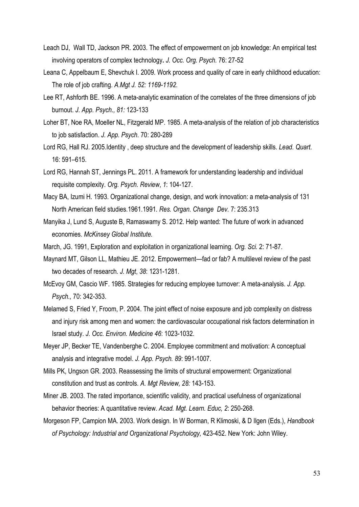- Leach DJ, Wall TD, Jackson PR. 2003. The effect of empowerment on job knowledge: An empirical test involving operators of complex technology**.** *J. Occ. Org. Psych.* 76: 27-52
- Leana C, Appelbaum E, Shevchuk I. 2009. Work process and quality of care in early childhood education: The role of job crafting. *A.Mgt J. 52: 1169-1192.*
- Lee RT, Ashforth BE. 1996. A meta-analytic examination of the correlates of the three dimensions of job burnout. *J. App. Psych., 81:* 123-133
- Loher BT, Noe RA, Moeller NL, Fitzgerald MP. 1985. A meta-analysis of the relation of job characteristics to job satisfaction. *J. App. Psych.* 70: 280-289
- Lord RG, Hall RJ. 2005.Identity , deep structure and the development of leadership skills. *Lead. Quart*. 16: 591–615.
- Lord RG, Hannah ST, Jennings PL. 2011. A framework for understanding leadership and individual requisite complexity. *Org. Psych. Review*, *1*: 104-127.
- Macy BA, Izumi H. 1993. Organizational change, design, and work innovation: a meta-analysis of 131 North American field studies.1961.1991. *Res. Organ. Change Dev.* 7: 235.313
- Manyika J, Lund S, Auguste B, Ramaswamy S. 2012. Help wanted: The future of work in advanced economies. *McKinsey Global Institute.*
- March, JG. 1991, Exploration and exploitation in organizational learning. *Org. Sci.* 2: 71-87.
- Maynard MT, Gilson LL, Mathieu JE. 2012. Empowerment—fad or fab? A multilevel review of the past two decades of research. *J. Mgt*, *38*: 1231-1281.
- McEvoy GM, Cascio WF. 1985. Strategies for reducing employee turnover: A meta-analysis. *J. App. Psych.,* 70: 342-353.
- Melamed S, Fried Y, Froom, P. 2004. The joint effect of noise exposure and job complexity on distress and injury risk among men and women: the cardiovascular occupational risk factors determination in Israel study. *J. Occ. Environ. Medicine 46*: 1023-1032.
- Meyer JP, Becker TE, Vandenberghe C. 2004. Employee commitment and motivation: A conceptual analysis and integrative model. *J. App. Psych. 89*: 991-1007.
- Mills PK, Ungson GR. 2003. Reassessing the limits of structural empowerment: Organizational constitution and trust as controls. *A. Mgt Review, 28:* 143-153.
- Miner JB. 2003. The rated importance, scientific validity, and practical usefulness of organizational behavior theories: A quantitative review. *Acad. Mgt. Learn. Educ, 2*: 250-268.
- Morgeson FP, Campion MA. 2003. Work design. In W Borman, R Klimoski, & D Ilgen (Eds.), *Handbook of Psychology: Industrial and Organizational Psychology,* 423-452. New York: John Wiley.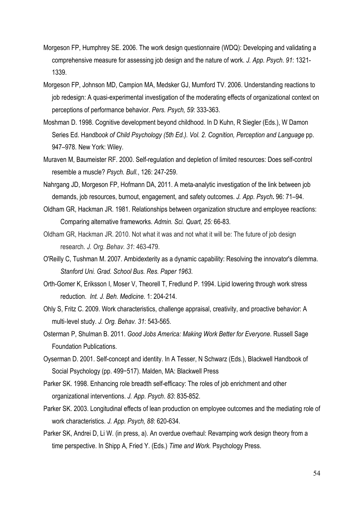- Morgeson FP, Humphrey SE. 2006. The work design questionnaire (WDQ): Developing and validating a comprehensive measure for assessing job design and the nature of work. *J. App. Psych*. *91*: 1321- 1339.
- Morgeson FP, Johnson MD, Campion MA, Medsker GJ, Mumford TV. 2006. Understanding reactions to job redesign: A quasi-experimental investigation of the moderating effects of organizational context on perceptions of performance behavior. *Pers. Psych, 59*: 333-363.
- Moshman D. 1998. Cognitive development beyond childhood. In D Kuhn, R Siegler (Eds.), W Damon Series Ed. H*andbook of Child Psychology (5th Ed.). Vol. 2. Cognition, Perception and Language* pp. 947–978. New York: Wiley.
- Muraven M, Baumeister RF. 2000. Self-regulation and depletion of limited resources: Does self-control resemble a muscle? *Psych. Bull.*, 126: 247-259.
- Nahrgang JD, Morgeson FP, Hofmann DA, 2011. A meta-analytic investigation of the link between job demands, job resources, burnout, engagement, and safety outcomes. *J. App. Psych***.** 96: 71–94.
- Oldham GR, Hackman JR. 1981. Relationships between organization structure and employee reactions: Comparing alternative frameworks. *Admin. Sci. Quart, 25:* 66-83.
- Oldham GR, Hackman JR. 2010. Not what it was and not what it will be: The future of job design research. *J. Org. Behav. 31*: 463-479.
- O'Reilly C, Tushman M. 2007. Ambidexterity as a dynamic capability: Resolving the innovator's dilemma. *Stanford Uni. Grad. School Bus. Res. Paper 1963*.
- Orth-Gomer K, Eriksson I, Moser V, Theorell T, Fredlund P. 1994. Lipid lowering through work stress reduction. *Int. J. Beh. Medicine.* 1: 204-214.
- Ohly S, Fritz C. 2009. Work characteristics, challenge appraisal, creativity, and proactive behavior: A multi‐level study. *J. Org. Behav. 31*: 543-565.
- Osterman P, Shulman B. 2011. *Good Jobs America: Making Work Better for Everyone*. Russell Sage Foundation Publications.
- Oyserman D. 2001. Self-concept and identity. In A Tesser, N Schwarz (Eds.), Blackwell Handbook of Social Psychology (pp. 499−517). Malden, MA: Blackwell Press
- Parker SK. 1998. Enhancing role breadth self-efficacy: The roles of job enrichment and other organizational interventions. *J. App. Psych*. *83*: 835-852.
- Parker SK. 2003. Longitudinal effects of lean production on employee outcomes and the mediating role of work characteristics. *J. App. Psych, 88*: 620-634.
- Parker SK, Andrei D, Li W. (in press, a). An overdue overhaul: Revamping work design theory from a time perspective. In Shipp A, Fried Y. (Eds.) *Time and Work.* Psychology Press.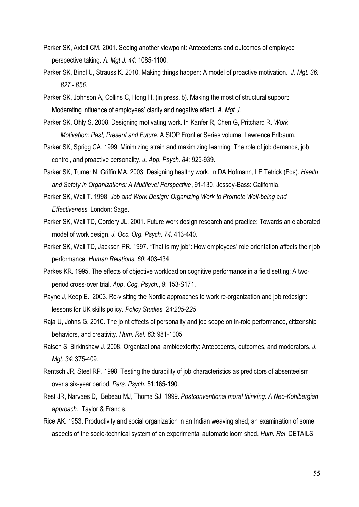- Parker SK, Axtell CM. 2001. Seeing another viewpoint: Antecedents and outcomes of employee perspective taking. *A. Mgt J. 44*: 1085-1100.
- Parker SK, Bindl U, Strauss K. 2010. Making things happen: A model of proactive motivation. *J. Mgt. 36: 827 - 856.*
- Parker SK, Johnson A, Collins C, Hong H. (in press, b). Making the most of structural support: Moderating influence of employees' clarity and negative affect. *A. Mgt J.*
- Parker SK, Ohly S. 2008. Designing motivating work. In Kanfer R, Chen G, Pritchard R. *Work Motivation: Past, Present and Future.* A SIOP Frontier Series volume. Lawrence Erlbaum.
- Parker SK, Sprigg CA. 1999. Minimizing strain and maximizing learning: The role of job demands, job control, and proactive personality. *J. App. Psych. 84*: 925-939.
- Parker SK, Turner N, Griffin MA. 2003. Designing healthy work. In DA Hofmann, LE Tetrick (Eds). *Health and Safety in Organizations: A Multilevel Perspective*, 91-130. Jossey-Bass: California.
- Parker SK, Wall T. 1998. *Job and Work Design: Organizing Work to Promote Well-being and Effectiveness.* London: Sage.
- Parker SK, Wall TD, Cordery JL. 2001. Future work design research and practice: Towards an elaborated model of work design. *J. Occ. Org. Psych. 74:* 413-440.
- Parker SK, Wall TD, Jackson PR. 1997. "That is my job": How employees' role orientation affects their job performance. *Human Relations, 60*: 403-434.
- Parkes KR. 1995. The effects of objective workload on cognitive performance in a field setting: A two‐ period cross‐over trial. *App. Cog. Psych.*, *9*: 153-S171.
- Payne J, Keep E. 2003. Re-visiting the Nordic approaches to work re-organization and job redesign: lessons for UK skills policy. *Policy Studies. 24:205-225*
- Raja U, Johns G. 2010. The joint effects of personality and job scope on in-role performance, citizenship behaviors, and creativity. *Hum. Rel. 63*: 981-1005.
- Raisch S, Birkinshaw J. 2008. Organizational ambidexterity: Antecedents, outcomes, and moderators. *J. Mgt*, *34*: 375-409.
- Rentsch JR, Steel RP. 1998. Testing the durability of job characteristics as predictors of absenteeism over a six-year period. *Pers. Psych.* 51:165-190.
- Rest JR, Narvaes D, Bebeau MJ, Thoma SJ. 1999. *Postconventional moral thinking: A Neo-Kohlbergian approach*. Taylor & Francis.
- Rice AK. 1953. Productivity and social organization in an Indian weaving shed; an examination of some aspects of the socio-technical system of an experimental automatic loom shed. *Hum. Rel*. DETAILS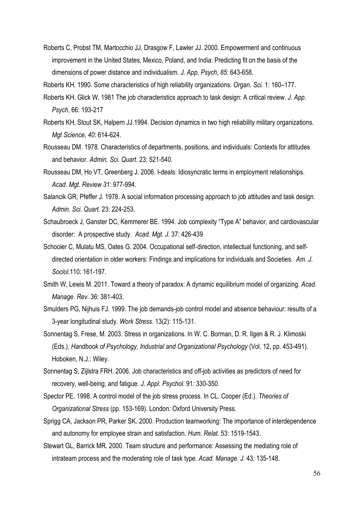Roberts C, Probst TM, Martocchio JJ, Drasgow F, Lawler JJ. 2000. Empowerment and continuous improvement in the United States, Mexico, Poland, and India: Predicting fit on the basis of the dimensions of power distance and individualism. *J. App. Psych*, *85*: 643-658.

Roberts KH. 1990. Some characteristics of high reliability organizations. *Organ. Sci.* 1: 160–177.

- Roberts KH. Glick W. 1981 The job characteristics approach to task design: A critical review. *J. App. Psych*, 66: 193-217
- Roberts KH, Stout SK, Halpern JJ.1994. Decision dynamics in two high reliability military organizations. *Mgt Science*, *40*: 614-624.
- Rousseau DM. 1978. Characteristics of departments, positions, and individuals: Contexts for attitudes and behavior. *Admin. Sci. Quart.* 23: 521-540.
- Rousseau DM, Ho VT, Greenberg J. 2006. I-deals: Idiosyncratic terms in employment relationships. *Acad. Mgt. Review 31*: 977-994.
- Salancik GR, Pfeffer J. 1978. A social information processing approach to job attitudes and task design. *Admin. Sci. Quart.* 23: 224-253.
- Schaubroeck J, Ganster DC, Kemmerer BE. 1994. Job complexity "Type A" behavior, and cardiovascular disorder: A prospective study. *Acad. Mgt. J.* 37: 426-439
- Schooler C, Mulatu MS, Oates G. 2004. Occupational self-direction, intellectual functioning, and selfdirected orientation in older workers: Findings and implications for individuals and Societies. *Am. J. Sociol.*110: 161-197.
- Smith W, Lewis M. 2011. Toward a theory of paradox: A dynamic equilibrium model of organizing. *Acad. Manage. Rev.* 36: 381-403.
- Smulders PG, Nijhuis FJ. 1999. The job demands-job control model and absence behaviour: results of a 3-year longitudinal study. *Work Stress*. 13(2): 115-131.
- Sonnentag S, Frese, M. 2003. Stress in organizations. In W. C. Borman, D. R. Ilgen & R. J. Klimoski (Eds.), *Handbook of Psychology, Industrial and Organizational Psychology* (Vol. 12, pp. 453-491). Hoboken, N.J.: Wiley.
- Sonnentag S, Zijlstra FRH. 2006. Job characteristics and off-job activities as predictors of need for recovery, well-being, and fatigue. *J. Appl. Psychol.* 91*:* 330-350.
- Spector PE. 1998. A control model of the job stress process. In CL. Cooper (Ed.). *Theories of Organizational Stress* (pp. 153-169). London*:* Oxford University Press.
- Sprigg CA, Jackson PR, Parker SK. 2000. Production teamworking: The importance of interdependence and autonomy for employee strain and satisfaction. *Hum. Relat.* 53: 1519-1543.
- Stewart GL, Barrick MR. 2000. Team structure and performance: Assessing the mediating role of intrateam process and the moderating role of task type. *Acad. Manage. J.* 43*:* 135-148.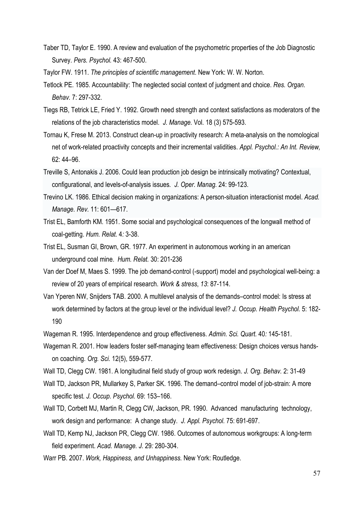- Taber TD, Taylor E. 1990. A review and evaluation of the psychometric properties of the Job Diagnostic Survey. *Pers. Psychol.* 43: 467-500.
- Taylor FW. 1911. *The principles of scientific management*. New York: W. W. Norton.
- Tetlock PE. 1985. Accountability: The neglected social context of judgment and choice. *Res. Organ. Behav.* 7: 297-332.
- Tiegs RB, Tetrick LE, Fried Y. 1992. Growth need strength and context satisfactions as moderators of the relations of the job characteristics model. *J. Manage.* Vol. 18 (3) 575-593.
- Tornau K, Frese M. 2013. Construct clean-up in proactivity research: A meta-analysis on the nomological net of work-related proactivity concepts and their incremental validities. *Appl. Psychol.: An Int. Review,*  62: 44–96.
- Treville S, Antonakis J. 2006. Could lean production job design be intrinsically motivating? Contextual, configurational, and levels-of-analysis issues*. J. Oper. [Manag.](http://www.sciencedirect.com/science/journal/02726963)* 24: 99-123.
- Trevino LK. 1986. Ethical decision making in organizations: A person-situation interactionist model. *Acad. Manage. Rev.* 11: 601—617.
- Trist EL, Bamforth KM. 1951. Some social and psychological consequences of the longwall method of coal-getting. *Hum. Relat.* 4*:* 3-38.
- Trist EL, Susman GI, Brown, GR. 1977. An experiment in autonomous working in an american underground coal mine. *Hum. Relat.* 30: 201-236
- Van der Doef M, Maes S. 1999. The job demand-control (-support) model and psychological well-being: a review of 20 years of empirical research. *Work & stress*, *13*: 87-114.
- Van Yperen NW, Snijders TAB. 2000. A multilevel analysis of the demands–control model: Is stress at work determined by factors at the group level or the individual level? *J. Occup. Health Psychol.* 5: 182- 190
- Wageman R. 1995. Interdependence and group effectiveness. *Admin. Sci. Quart.* 40*:* 145-181.
- Wageman R. 2001. How leaders foster self-managing team effectiveness: Design choices versus handson coaching. *Org. Sci.* 12(5), 559-577.
- Wall TD, Clegg CW. 1981. A longitudinal field study of group work redesign. *J. Org. Behav.* 2: 31-49
- Wall TD, Jackson PR, Mullarkey S, Parker SK. 1996. The demand–control model of job-strain: A more specific test. *J. Occup. Psychol.* 69: 153–166.
- Wall TD, Corbett MJ, Martin R, Clegg CW, Jackson, PR. 1990. Advanced manufacturing technology, work design and performance: A change study. *J. Appl. Psychol.* 75: 691-697.
- Wall TD, Kemp NJ, Jackson PR, Clegg CW. 1986. Outcomes of autonomous workgroups: A long-term field experiment. *Acad. Manage. J.* 29*:* 280-304.
- Warr PB. 2007. *Work, Happiness, and Unhappiness.* New York: Routledge.